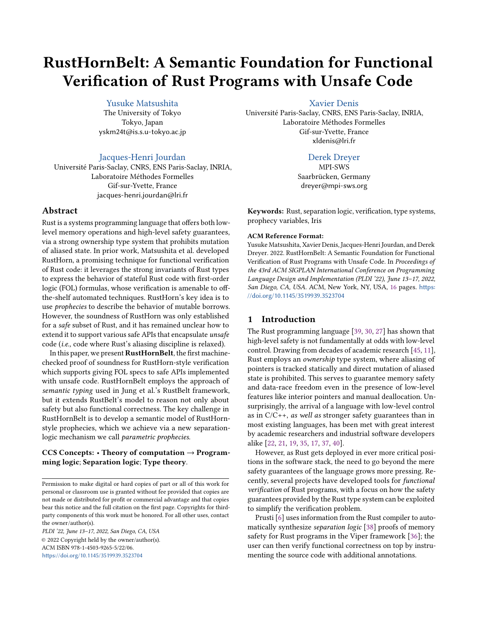# <span id="page-0-0"></span>RustHornBelt: A Semantic Foundation for Functional Verification of Rust Programs with Unsafe Code

[Yusuke Matsushita](https://orcid.org/0000-0002-5208-3106)

The University of Tokyo Tokyo, Japan yskm24t@is.s.u-tokyo.ac.jp

[Jacques-Henri Jourdan](https://orcid.org/0000-0002-9781-7097)

Université Paris-Saclay, CNRS, ENS Paris-Saclay, INRIA, Laboratoire Méthodes Formelles Gif-sur-Yvette, France jacques-henri.jourdan@lri.fr

# Abstract

Rust is a systems programming language that offers both lowlevel memory operations and high-level safety guarantees, via a strong ownership type system that prohibits mutation of aliased state. In prior work, Matsushita et al. developed RustHorn, a promising technique for functional verification of Rust code: it leverages the strong invariants of Rust types to express the behavior of stateful Rust code with first-order logic (FOL) formulas, whose verification is amenable to offthe-shelf automated techniques. RustHorn's key idea is to use prophecies to describe the behavior of mutable borrows. However, the soundness of RustHorn was only established for a safe subset of Rust, and it has remained unclear how to extend it to support various safe APIs that encapsulate unsafe code (i.e., code where Rust's aliasing discipline is relaxed).

In this paper, we present RustHornBelt, the first machinechecked proof of soundness for RustHorn-style verification which supports giving FOL specs to safe APIs implemented with unsafe code. RustHornBelt employs the approach of semantic typing used in Jung et al.'s RustBelt framework, but it extends RustBelt's model to reason not only about safety but also functional correctness. The key challenge in RustHornBelt is to develop a semantic model of RustHornstyle prophecies, which we achieve via a new separationlogic mechanism we call parametric prophecies.

CCS Concepts:  $\cdot$  Theory of computation  $\rightarrow$  Programming logic; Separation logic; Type theory.

PLDI '22, June 13–17, 2022, San Diego, CA, USA © 2022 Copyright held by the owner/author(s). ACM ISBN 978-1-4503-9265-5/22/06. <https://doi.org/10.1145/3519939.3523704>

[Xavier Denis](https://orcid.org/0000-0003-2530-8418)

Université Paris-Saclay, CNRS, ENS Paris-Saclay, INRIA, Laboratoire Méthodes Formelles Gif-sur-Yvette, France xldenis@lri.fr

# [Derek Dreyer](https://orcid.org/0000-0002-3884-6867)

MPI-SWS Saarbrücken, Germany dreyer@mpi-sws.org

Keywords: Rust, separation logic, verification, type systems, prophecy variables, Iris

## ACM Reference Format:

Yusuke Matsushita, Xavier Denis, Jacques-Henri Jourdan, and Derek Dreyer. 2022. RustHornBelt: A Semantic Foundation for Functional Verification of Rust Programs with Unsafe Code. In Proceedings of the 43rd ACM SIGPLAN International Conference on Programming Language Design and Implementation (PLDI '22), June 13–17, 2022, San Diego, CA, USA. ACM, New York, NY, USA, [16](#page-15-0) pages. [https:](https://doi.org/10.1145/3519939.3523704) [//doi.org/10.1145/3519939.3523704](https://doi.org/10.1145/3519939.3523704)

# 1 Introduction

The Rust programming language [\[39,](#page-15-1) [30,](#page-14-0) [27\]](#page-14-1) has shown that high-level safety is not fundamentally at odds with low-level control. Drawing from decades of academic research [\[45,](#page-15-2) [11\]](#page-14-2), Rust employs an ownership type system, where aliasing of pointers is tracked statically and direct mutation of aliased state is prohibited. This serves to guarantee memory safety and data-race freedom even in the presence of low-level features like interior pointers and manual deallocation. Unsurprisingly, the arrival of a language with low-level control as in  $C/C++$ , *as well as stronger safety guarantees than in* most existing languages, has been met with great interest by academic researchers and industrial software developers alike [\[22,](#page-14-3) [21,](#page-14-4) [19,](#page-14-5) [35,](#page-15-3) [17,](#page-14-6) [37,](#page-15-4) [40\]](#page-15-5).

However, as Rust gets deployed in ever more critical positions in the software stack, the need to go beyond the mere safety guarantees of the language grows more pressing. Recently, several projects have developed tools for functional verification of Rust programs, with a focus on how the safety guarantees provided by the Rust type system can be exploited to simplify the verification problem.

Prusti [\[6\]](#page-14-7) uses information from the Rust compiler to automatically synthesize separation logic [\[38\]](#page-15-6) proofs of memory safety for Rust programs in the Viper framework [\[36\]](#page-15-7); the user can then verify functional correctness on top by instrumenting the source code with additional annotations.

Permission to make digital or hard copies of part or all of this work for personal or classroom use is granted without fee provided that copies are not made or distributed for profit or commercial advantage and that copies bear this notice and the full citation on the first page. Copyrights for thirdparty components of this work must be honored. For all other uses, contact the owner/author(s).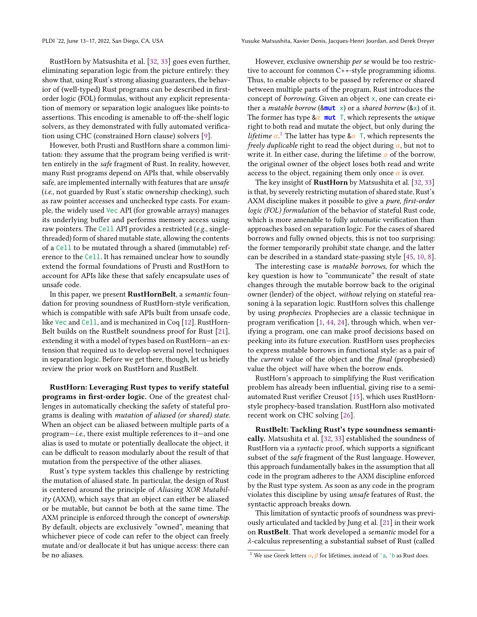RustHorn by Matsushita et al. [\[32,](#page-15-8) [33\]](#page-15-9) goes even further, eliminating separation logic from the picture entirely: they show that, using Rust's strong aliasing guarantees, the behavior of (well-typed) Rust programs can be described in firstorder logic (FOL) formulas, without any explicit representation of memory or separation logic analogues like points-to assertions. This encoding is amenable to off-the-shelf logic solvers, as they demonstrated with fully automated verification using CHC (constrained Horn clause) solvers [\[9\]](#page-14-8).

However, both Prusti and RustHorn share a common limitation: they assume that the program being verified is written entirely in the safe fragment of Rust. In reality, however, many Rust programs depend on APIs that, while observably safe, are implemented internally with features that are unsafe (i.e., not guarded by Rust's static ownership checking), such as raw pointer accesses and unchecked type casts. For example, the widely used Vec API (for growable arrays) manages its underlying buffer and performs memory access using raw pointers. The Cell API provides a restricted (e.g., singlethreaded) form of shared mutable state, allowing the contents of a Cell to be mutated through a shared (immutable) reference to the Cell. It has remained unclear how to soundly extend the formal foundations of Prusti and RustHorn to account for APIs like these that safely encapsulate uses of unsafe code.

In this paper, we present RustHornBelt, a semantic foundation for proving soundness of RustHorn-style verification, which is compatible with safe APIs built from unsafe code, like Vec and Cell, and is mechanized in Coq [\[12\]](#page-14-9). RustHorn-Belt builds on the RustBelt soundness proof for Rust [\[21\]](#page-14-4), extending it with a model of types based on RustHorn—an extension that required us to develop several novel techniques in separation logic. Before we get there, though, let us briefly review the prior work on RustHorn and RustBelt.

RustHorn: Leveraging Rust types to verify stateful programs in first-order logic. One of the greatest challenges in automatically checking the safety of stateful programs is dealing with mutation of aliased (or shared) state. When an object can be aliased between multiple parts of a program—i.e., there exist multiple references to it—and one alias is used to mutate or potentially deallocate the object, it can be difficult to reason modularly about the result of that mutation from the perspective of the other aliases.

Rust's type system tackles this challenge by restricting the mutation of aliased state. In particular, the design of Rust is centered around the principle of Aliasing XOR Mutabil $ity$  (AXM), which says that an object can either be aliased or be mutable, but cannot be both at the same time. The AXM principle is enforced through the concept of ownership. By default, objects are exclusively "owned", meaning that whichever piece of code can refer to the object can freely mutate and/or deallocate it but has unique access: there can be no aliases.

However, exclusive ownership per se would be too restrictive to account for common C++-style programming idioms. Thus, to enable objects to be passed by reference or shared between multiple parts of the program, Rust introduces the concept of borrowing. Given an object x, one can create either a *mutable borrow* ( $8mu t \times$ ) or a *shared borrow* ( $8x$ ) of it. The former has type  $\&\alpha$  **mut** T, which represents the *unique* right to both read and mutate the object, but only during the *lifetime*  $\alpha$ <sup>[1](#page-0-0)</sup>. The latter has type & $\alpha$  T, which represents the freely duplicable right to read the object during  $\alpha$ , but not to write it. In either case, during the lifetime  $\alpha$  of the borrow, the original owner of the object loses both read and write access to the object, regaining them only once  $\alpha$  is over.

The key insight of **RustHorn** by Matsushita et al. [\[32,](#page-15-8) [33\]](#page-15-9) is that, by severely restricting mutation of shared state, Rust's AXM discipline makes it possible to give a pure, first-order logic (FOL) formulation of the behavior of stateful Rust code, which is more amenable to fully automatic verification than approaches based on separation logic. For the cases of shared borrows and fully owned objects, this is not too surprising: the former temporarily prohibit state change, and the latter can be described in a standard state-passing style [\[45,](#page-15-2) [10,](#page-14-10) [8\]](#page-14-11).

The interesting case is mutable borrows, for which the key question is how to "communicate" the result of state changes through the mutable borrow back to the original owner (lender) of the object, without relying on stateful reasoning à la separation logic. RustHorn solves this challenge by using prophecies. Prophecies are a classic technique in program verification [\[1,](#page-14-12) [44,](#page-15-10) [24\]](#page-14-13), through which, when verifying a program, one can make proof decisions based on peeking into its future execution. RustHorn uses prophecies to express mutable borrows in functional style: as a pair of the current value of the object and the final (prophesied) value the object will have when the borrow ends.

RustHorn's approach to simplifying the Rust verification problem has already been influential, giving rise to a semiautomated Rust verifier Creusot [\[15\]](#page-14-14), which uses RustHornstyle prophecy-based translation. RustHorn also motivated recent work on CHC solving [\[26\]](#page-14-15).

RustBelt: Tackling Rust's type soundness semantically. Matsushita et al. [\[32,](#page-15-8) [33\]](#page-15-9) established the soundness of RustHorn via a syntactic proof, which supports a significant subset of the safe fragment of the Rust language. However, this approach fundamentally bakes in the assumption that all code in the program adheres to the AXM discipline enforced by the Rust type system. As soon as any code in the program violates this discipline by using unsafe features of Rust, the syntactic approach breaks down.

This limitation of syntactic proofs of soundness was previously articulated and tackled by Jung et al. [\[21\]](#page-14-4) in their work on **RustBelt**. That work developed a *semantic* model for a  $\lambda$ -calculus representing a substantial subset of Rust (called

<sup>&</sup>lt;sup>1</sup> We use Greek letters  $\alpha$ ,  $\beta$  for lifetimes, instead of 'a, 'b as Rust does.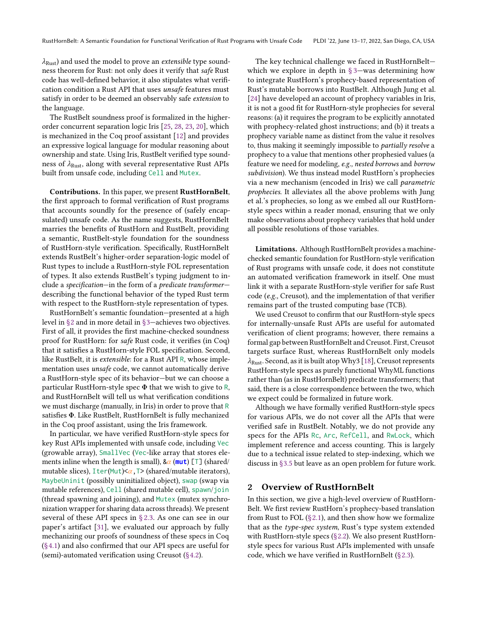$\lambda_{\text{Rust}}$ ) and used the model to prove an *extensible* type soundness theorem for Rust: not only does it verify that safe Rust code has well-defined behavior, it also stipulates what verification condition a Rust API that uses unsafe features must satisfy in order to be deemed an observably safe extension to the language.

The RustBelt soundness proof is formalized in the higherorder concurrent separation logic Iris [\[25,](#page-14-16) [28,](#page-14-17) [23,](#page-14-18) [20\]](#page-14-19), which is mechanized in the Coq proof assistant [\[12\]](#page-14-9) and provides an expressive logical language for modular reasoning about ownership and state. Using Iris, RustBelt verified type soundness of  $\lambda_{\text{Rust}}$ , along with several representative Rust APIs built from unsafe code, including Cell and Mutex.

Contributions. In this paper, we present RustHornBelt, the first approach to formal verification of Rust programs that accounts soundly for the presence of (safely encapsulated) unsafe code. As the name suggests, RustHornBelt marries the benefits of RustHorn and RustBelt, providing a semantic, RustBelt-style foundation for the soundness of RustHorn-style verification. Specifically, RustHornBelt extends RustBelt's higher-order separation-logic model of Rust types to include a RustHorn-style FOL representation of types. It also extends RustBelt's typing judgment to include a specification—in the form of a predicate transformer describing the functional behavior of the typed Rust term with respect to the RustHorn-style representation of types.

RustHornBelt's semantic foundation—presented at a high level in [§2](#page-2-0) and in more detail in [§3—](#page-6-0)achieves two objectives. First of all, it provides the first machine-checked soundness proof for RustHorn: for safe Rust code, it verifies (in Coq) that it satisfies a RustHorn-style FOL specification. Second, like RustBelt, it is extensible: for a Rust API R, whose implementation uses unsafe code, we cannot automatically derive a RustHorn-style spec of its behavior—but we can choose a particular RustHorn-style spec Φ that we wish to give to R, and RustHornBelt will tell us what verification conditions we must discharge (manually, in Iris) in order to prove that R satisfies Φ. Like RustBelt, RustHornBelt is fully mechanized in the Coq proof assistant, using the Iris framework.

In particular, we have verified RustHorn-style specs for key Rust APIs implemented with unsafe code, including Vec (growable array), SmallVec (Vec-like array that stores elements inline when the length is small),  $\&\alpha$  (mut) [T] (shared/ mutable slices),  $Iter(Mut)  $\alpha$ ,  $T > (shared/mutable \text{ iterators}),$$ MaybeUninit (possibly uninitialized object), swap (swap via mutable references), Cell (shared mutable cell), spawn/join (thread spawning and joining), and Mutex (mutex synchronization wrapper for sharing data across threads). We present several of these API specs in [§ 2.3.](#page-5-0) As one can see in our paper's artifact [\[31\]](#page-15-11), we evaluated our approach by fully mechanizing our proofs of soundness of these specs in Coq [\(§4.1\)](#page-11-0) and also confirmed that our API specs are useful for (semi)-automated verification using Creusot [\(§4.2\)](#page-12-0).

The key technical challenge we faced in RustHornBelt which we explore in depth in  $\S 3$ —was determining how to integrate RustHorn's prophecy-based representation of Rust's mutable borrows into RustBelt. Although Jung et al. [\[24\]](#page-14-13) have developed an account of prophecy variables in Iris, it is not a good fit for RustHorn-style prophecies for several reasons: (a) it requires the program to be explicitly annotated with prophecy-related ghost instructions; and (b) it treats a prophecy variable name as distinct from the value it resolves to, thus making it seemingly impossible to partially resolve a prophecy to a value that mentions other prophesied values (a feature we need for modeling, e.g., nested borrows and borrow subdivision). We thus instead model RustHorn's prophecies via a new mechanism (encoded in Iris) we call parametric prophecies. It alleviates all the above problems with Jung et al.'s prophecies, so long as we embed all our RustHornstyle specs within a reader monad, ensuring that we only make observations about prophecy variables that hold under all possible resolutions of those variables.

Limitations. Although RustHornBelt provides a machinechecked semantic foundation for RustHorn-style verification of Rust programs with unsafe code, it does not constitute an automated verification framework in itself. One must link it with a separate RustHorn-style verifier for safe Rust code (e.g., Creusot), and the implementation of that verifier remains part of the trusted computing base (TCB).

We used Creusot to confirm that our RustHorn-style specs for internally-unsafe Rust APIs are useful for automated verification of client programs; however, there remains a formal gap between RustHornBelt and Creusot. First, Creusot targets surface Rust, whereas RustHornBelt only models  $\lambda_{\text{Rust}}$ . Second, as it is built atop Why3 [\[18\]](#page-14-20), Creusot represents RustHorn-style specs as purely functional WhyML functions rather than (as in RustHornBelt) predicate transformers; that said, there is a close correspondence between the two, which we expect could be formalized in future work.

Although we have formally verified RustHorn-style specs for various APIs, we do not cover all the APIs that were verified safe in RustBelt. Notably, we do not provide any specs for the APIs Rc, Arc, RefCell, and RwLock, which implement reference and access counting. This is largely due to a technical issue related to step-indexing, which we discuss in [§3.5](#page-10-0) but leave as an open problem for future work.

## <span id="page-2-0"></span>2 Overview of RustHornBelt

In this section, we give a high-level overview of RustHorn-Belt. We first review RustHorn's prophecy-based translation from Rust to FOL  $(\S 2.1)$ , and then show how we formalize that as the type-spec system, Rust's type system extended with RustHorn-style specs [\(§2.2\)](#page-3-1). We also present RustHornstyle specs for various Rust APIs implemented with unsafe code, which we have verified in RustHornBelt [\(§2.3\)](#page-5-0).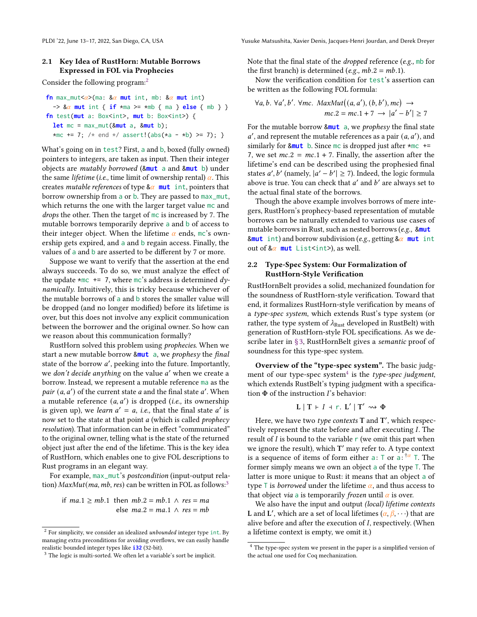## <span id="page-3-0"></span>2.1 Key Idea of RustHorn: Mutable Borrows Expressed in FOL via Prophecies

Consider the following program:[2](#page-0-0)

```
fn max_mut<\alpha>(ma: \&\alpha mut int, mb: \&\alpha mut int)
  \rightarrow 8\alpha mut int { if *ma >= *mb { ma } else { mb } }
fn test(mut a: Box<int>, mut b: Box<int>) {
  let mc = max_mut(&mut a, &mut b);
  *mc += 7; /* end */ assert!(abs(*a - *b) >= 7); }
```
What's going on in test? First, a and b, boxed (fully owned) pointers to integers, are taken as input. Then their integer objects are mutably borrowed (&**mut** a and &**mut** b) under the same *lifetime* (*i.e.*, time limit of ownership rental)  $\alpha$ . This creates *mutable references* of type  $\&\alpha$  **mut** int, pointers that borrow ownership from a or b. They are passed to max\_mut, which returns the one with the larger target value mc and drops the other. Then the target of mc is increased by 7. The mutable borrows temporarily deprive a and b of access to their integer object. When the lifetime  $\alpha$  ends, mc's ownership gets expired, and a and b regain access. Finally, the values of a and b are asserted to be different by 7 or more.

Suppose we want to verify that the assertion at the end always succeeds. To do so, we must analyze the effect of the update  $\star$ mc += 7, where mc's address is determined dynamically. Intuitively, this is tricky because whichever of the mutable borrows of a and b stores the smaller value will be dropped (and no longer modified) before its lifetime is over, but this does not involve any explicit communication between the borrower and the original owner. So how can we reason about this communication formally?

RustHorn solved this problem using prophecies. When we start a new mutable borrow &**mut** a, we prophesy the final state of the borrow  $a'$ , peeking into the future. Importantly, we don't decide anything on the value a' when we create a borrow. Instead, we represent a mutable reference ma as the pair  $(a, a')$  of the current state  $a$  and the final state  $a'$ . When a mutable reference  $(a, a')$  is dropped (i.e., its ownership is given up), we *learn*  $a' = a$ , *i.e.*, that the final state  $a'$  is now set to the state at that point  $a$  (which is called *prophecy* resolution). That information can be in effect "communicated" to the original owner, telling what is the state of the returned object just after the end of the lifetime. This is the key idea of RustHorn, which enables one to give FOL descriptions to Rust programs in an elegant way.

For example, max\_mut's postcondition (input-output rela-tion) MaxMut(ma, mb, res) can be written in FOL as follows:<sup>[3](#page-0-0)</sup>

if 
$$
ma.1 \ge mb.1
$$
 then  $mb.2 = mb.1 \land res = ma$   
else  $ma.2 = ma.1 \land res = mb$ 

PLDI '22, June 13-17, 2022, San Diego, CA, USA Yusuke Matsushita, Xavier Denis, Jacques-Henri Jourdan, and Derek Dreyer

Note that the final state of the dropped reference (e.g., mb for the first branch) is determined (*e.g.*,  $mb.2 = mb.1$ ).

Now the verification condition for test's assertion can be written as the following FOL formula:

$$
\forall a, b. \forall a', b'. \forall mc. \ MaxMut((a, a'), (b, b'), mc) \rightarrow mc.2 = mc.1 + 7 \rightarrow |a' - b'| \ge 7
$$

For the mutable borrow &**mut** a, we prophesy the final state  $a'$ , and represent the mutable references as a pair  $(a, a')$ , and similarly for &**mut** b. Since mc is dropped just after \*mc += 7, we set  $mc.2 = mc.1 + 7$ . Finally, the assertion after the lifetime's end can be described using the prophesied final states a', b' (namely,  $|a'-b'| \ge 7$ ). Indeed, the logic formula above is true. You can check that  $a'$  and  $b'$  are always set to the actual final state of the borrows.

Though the above example involves borrows of mere integers, RustHorn's prophecy-based representation of mutable borrows can be naturally extended to various use cases of mutable borrows in Rust, such as nested borrows (e.g., &**mut**  $k$ mut int) and borrow subdivision (e.g., getting  $k\alpha$  mut int out of  $\&\alpha$  **mut** List <int>, as well.

## <span id="page-3-1"></span>2.2 Type-Spec System: Our Formalization of RustHorn-Style Verification

RustHornBelt provides a solid, mechanized foundation for the soundness of RustHorn-style verification. Toward that end, it formalizes RustHorn-style verification by means of a type-spec system, which extends Rust's type system (or rather, the type system of  $\lambda_{\text{Rust}}$  developed in RustBelt) with generation of RustHorn-style FOL specifications. As we describe later in [§ 3,](#page-6-0) RustHornBelt gives a semantic proof of soundness for this type-spec system.

Overview of the "type-spec system". The basic judg-ment of our type-spec system<sup>[4](#page-0-0)</sup> is the type-spec judgment, which extends RustBelt's typing judgment with a specification  $\Phi$  of the instruction  $\Gamma$ 's behavior:

$$
L | T \vdash I + r. L' | T' \rightsquigarrow \Phi
$$

Here, we have two *type contexts*  $T$  and  $T'$ , which respectively represent the state before and after executing  $I$ . The result of  $I$  is bound to the variable  $r$  (we omit this part when we ignore the result), which T' may refer to. A type context is a sequence of items of form either a:  $\top$  or a:  $\pi$ <sup>2</sup>  $\top$ . The former simply means we own an object a of the type T. The latter is more unique to Rust: it means that an object a of type T is *borrowed* under the lifetime  $\alpha$ , and thus access to that object via a is temporarily frozen until  $\alpha$  is over.

We also have the input and output (local) lifetime contexts L and L', which are a set of local lifetimes  $(\alpha, \beta, \cdot\cdot\cdot)$  that are alive before and after the execution of  $I$ , respectively. (When a lifetime context is empty, we omit it.)

 $^{\rm 2}$  For simplicity, we consider an idealized  $unbounded$  integer type <code>int.By</code> managing extra preconditions for avoiding overflows, we can easily handle realistic bounded integer types like **i32** (32-bit).

<sup>&</sup>lt;sup>3</sup> The logic is multi-sorted. We often let a variable's sort be implicit.

<sup>4</sup> The type-spec system we present in the paper is a simplified version of the actual one used for Coq mechanization.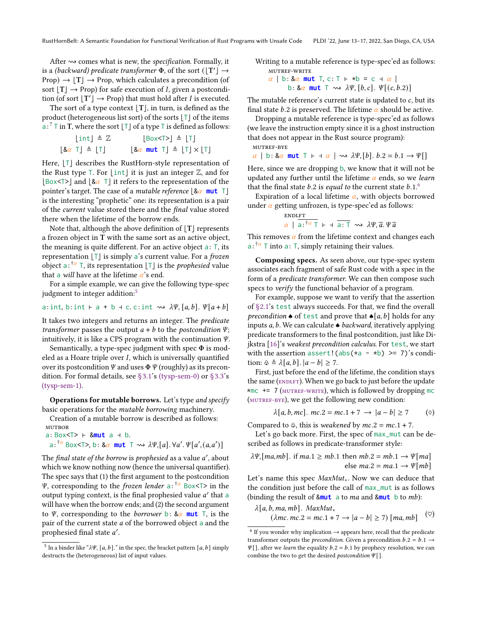After  $\rightsquigarrow$  comes what is new, the *specification*. Formally, it is a (backward) predicate transformer  $\Phi$ , of the sort  $(\lfloor T'\rfloor \rightarrow$ Prop)  $\rightarrow$   $|T| \rightarrow$  Prop, which calculates a precondition (of sort  $[T] \rightarrow$  Prop) for safe execution of *I*, given a postcondition (of sort  $[T'] \rightarrow$  Prop) that must hold after *I* is executed.

The sort of a type context  $|T|$ , in turn, is defined as the product (heterogeneous list sort) of the sorts  $|T|$  of the items  $\mathbf{a}: \mathbf{a}^2 \in \mathbf{T}$  in  $\mathbf{T}$ , where the sort  $\lfloor \mathbf{T} \rfloor$  of a type  $\mathbf{T}$  is defined as follows:

$$
\begin{array}{rcl}\n\lfloor \text{int} \rfloor \triangleq \mathbb{Z} & \lfloor \text{Box} < \text{T} \rfloor \triangleq \lfloor \text{T} \rfloor \\
\lfloor 8\alpha \text{ T} \rfloor \triangleq \lfloor \text{T} \rfloor & \lfloor 8\alpha \text{ mut } \text{T} \rfloor \triangleq \lfloor \text{T} \rfloor \times \lfloor \text{T} \rfloor\n\end{array}
$$

Here,  $|T|$  describes the RustHorn-style representation of the Rust type  $\top$ . For  $|\text{int}|$  it is just an integer  $\mathbb{Z}$ , and for  $|\text{Box}\le|$  and  $|\&\alpha|$  T it refers to the representation of the pointer's target. The case of a *mutable reference*  $|\&\alpha \text{ mut } T|$ is the interesting "prophetic" one: its representation is a pair of the current value stored there and the final value stored there when the lifetime of the borrow ends.

Note that, although the above definition of  $|T|$  represents a frozen object in T with the same sort as an active object, the meaning is quite different. For an active object a: T, its representation  $[T]$  is simply a's current value. For a *frozen* object a:  $\frac{1}{4}$  T, its representation [T] is the *prophesied* value that a *will* have at the lifetime  $\alpha$ 's end.

For a simple example, we can give the following type-spec judgment to integer addition:<sup>[5](#page-0-0)</sup>

a: int, b: int 
$$
\vdash
$$
 a + b + c. c: int  $\leadsto \lambda \Psi$ , [a, b].  $\Psi[a + b]$ 

It takes two integers and returns an integer. The predicate transformer passes the output  $a + b$  to the postcondition  $\Psi$ ; intuitively, it is like a CPS program with the continuation  $\Psi$ .

Semantically, a type-spec judgment with spec  $\Phi$  is modeled as a Hoare triple over  $I$ , which is universally quantified over its postcondition  $\Psi$  and uses  $\Phi \Psi$  (roughly) as its precondition. For formal details, see [§3.1'](#page-7-0)s [\(tysp-sem-0\)](#page-7-1) or [§3.3'](#page-9-0)s [\(tysp-sem-1\).](#page-9-1)

Operations for mutable borrows. Let's type and specify basic operations for the mutable borrowing machinery.

Creation of a mutable borrow is described as follows:

<span id="page-4-5"></span>**MUTBOR** a: Box<T> ⊢ &**mut** a ⊣ b.  $a: \dfrac{\dagger a}{\dfrac{\dagger a}{\dfrac{\dagger a}{\dfrac{\dagger a}{\dfrac{\dagger a}{\dfrac{\dagger a}{\dfrac{\dagger a}{\dfrac{\dagger a}{\dfrac{\dagger a}{\dfrac{\dagger a}{\dfrac{\dagger a}{\dfrac{\dagger a}{\dfrac{\dagger a}{\dfrac{\dagger a}{\dfrac{\dagger a}{\dfrac{\dagger a}{\dfrac{\dagger a}{\dfrac{\dagger a}{\dfrac{\dagger a}{\dfrac{\dagger a}{\dfrac{\dfrac{\dagger a}{\dfrac{\dagger a}{\dfrac{\dfrac{\dagger a}{\dfrac{\dfrac{\dagger a}{\dfrac{\dfrac{\dagger a}{\dfrac{\dfrac$ 

The *final state of the borrow* is *prophesied* as a value a', about which we know nothing now (hence the universal quantifier). The spec says that (1) the first argument to the postcondition  $\Psi$ , corresponding to the *frozen lender* a:  $\pi^*$  Box<T> in the output typing context, is the final prophesied value  $a'$  that a will have when the borrow ends; and (2) the second argument to  $\Psi$ , corresponding to the *borrower* b:  $\&\alpha$  mut T, is the pair of the current state  $a$  of the borrowed object a and the -<br>prophesied final state *a'* .

```
<sup>5</sup> In a binder like "\lambda \Psi, [a, b]." in the spec, the bracket pattern [a, b] simply
destructs the (heterogeneous) list of input values.
```
Writing to a mutable reference is type-spec'ed as follows: mutref-write

<span id="page-4-1"></span> $\alpha$  | b: &  $\alpha$  mut T, c: T ⊢ \*b = c +  $\alpha$  | b:  $& \alpha$  mut  $\top \rightsquigarrow \lambda \Psi$ ,  $[b, c]$ .  $\Psi[(c, b.2)]$ 

The mutable reference's current state is updated to  $c$ , but its final state b.2 is preserved. The lifetime  $\alpha$  should be active.

Dropping a mutable reference is type-spec'ed as follows (we leave the instruction empty since it is a ghost instruction that does not appear in the Rust source program): mutref-bye

```
\alpha | b: & \alpha mut T ⊢ + \alpha | \rightsquigarrow \lambda \Psi, [b]. b.2 = b.1 \rightarrow \Psi[]
```
Here, since we are dropping b, we know that it will not be updated any further until the lifetime  $\alpha$  ends, so we learn that the final state  $b.2$  is equal to the current state  $b.1$ .<sup>[6](#page-0-0)</sup>

Expiration of a local lifetime  $\alpha$ , with objects borrowed under  $\alpha$  getting unfrozen, is type-spec'ed as follows:

<span id="page-4-0"></span>
$$
\frac{\text{ENDLFT}}{\alpha \mid \overline{a} : \overline{1}^{\alpha} \top \vdash \overline{a} : \overline{1} \leadsto \lambda \Psi, \overline{a} . \Psi \overline{a}}
$$

This removes  $\alpha$  from the lifetime context and changes each  $a: \dagger^{\alpha}$  T into a: T, simply retaining their values.

Composing specs. As seen above, our type-spec system associates each fragment of safe Rust code with a spec in the form of a predicate transformer. We can then compose such specs to verify the functional behavior of a program.

For example, suppose we want to verify that the assertion of [§2.1'](#page-3-0)s test always succeeds. For that, we find the overall precondition  $\bullet$  of test and prove that  $\bullet$ [a, b] holds for any inputs  $a, b$ . We can calculate  $\triangle$  backward, iteratively applying predicate transformers to the final postcondition, just like Dijkstra [\[16\]](#page-14-21)'s weakest precondition calculus. For test, we start with the assertion assert! (abs( $\star$ a -  $\star$ b) >= 7)'s condition:  $\triangle \triangle [a, b]$ .  $|a - b| \ge 7$ .

First, just before the end of the lifetime, the condition stays the same (ENDLFT). When we go back to just before the update \*mc  $+= 7$  (MUTREF-WRITE), which is followed by dropping mc ([mutref-bye](#page-4-2)), we get the following new condition:

<span id="page-4-3"></span>
$$
\lambda[a, b, mc], mc.2 = mc.1 + 7 \rightarrow |a - b| \ge 7 \quad (\diamond)
$$

Compared to  $\oplus$ , this is weakened by  $mc.2 = mc.1 + 7$ .

Let's go back more. First, the spec of max\_mut can be described as follows in predicate-transformer style:

$$
\lambda \Psi, [ma, mb]. \text{ if } ma.1 \ge mb.1 \text{ then } mb.2 = mb.1 \rightarrow \Psi[ma]
$$
  
else  $ma.2 = ma.1 \rightarrow \Psi[mb]$ 

Let's name this spec *MaxMut*<sub>∗</sub>. Now we can deduce that the condition just before the call of max\_mut is as follows (binding the result of  $\text{8mu}$  a to ma and  $\text{8mu}$  b to mb):

<span id="page-4-4"></span>
$$
\lambda[a, b, ma, mb]. \quad \text{MaxMut}_*
$$
\n
$$
(\lambda mc. mc. 2 = mc. 1 + 7 \rightarrow |a - b| \ge 7) \, [ma, mb] \quad (\heartsuit)
$$

<sup>&</sup>lt;sup>6</sup> If you wonder why implication  $\rightarrow$  appears here, recall that the predicate transformer outputs the *precondition*. Given a precondition  $b.2 = b.1 \rightarrow$  $\Psi$ [], after we *learn* the equality  $b.2 = b.1$  by prophecy resolution, we can combine the two to get the desired *postcondition*  $\Psi$ [].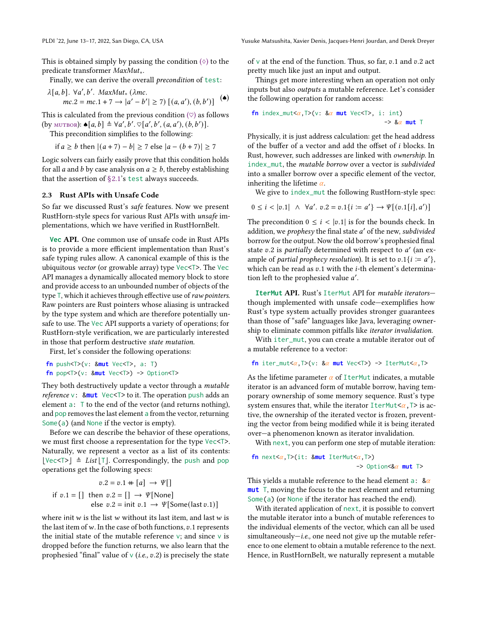PLDI '22, June 13-17, 2022, San Diego, CA, USA Yusuke Matsushita, Xavier Denis, Jacques-Henri Jourdan, and Derek Dreyer

This is obtained simply by passing the condition  $(\Diamond)$  to the predicate transformer MaxMut∗.

Finally, we can derive the overall precondition of test:

$$
\lambda[a, b]. \ \forall a', b'. \ MaxMut_* (\lambda mc.mc.2 = mc.1 + 7 \rightarrow |a' - b'| \ge 7) \left[ (a, a'), (b, b') \right] \tag{\bullet}
$$

This is calculated from the previous condition  $(\heartsuit)$  as follows (by MUTBOR):  $\bullet [a, b] \triangleq \forall a', b', \heartsuit[a', b', (a, a'), (b, b')].$ 

This precondition simplifies to the following:

if *a* ≥ *b* then 
$$
|(a+7) - b| \ge 7
$$
 else  $|a - (b + 7)| \ge 7$ 

Logic solvers can fairly easily prove that this condition holds for all *a* and *b* by case analysis on  $a \geq b$ , thereby establishing that the assertion of [§2.1'](#page-3-0)s test always succeeds.

## <span id="page-5-0"></span>2.3 Rust APIs with Unsafe Code

So far we discussed Rust's safe features. Now we present RustHorn-style specs for various Rust APIs with unsafe implementations, which we have verified in RustHornBelt.

**Vec** API. One common use of unsafe code in Rust APIs is to provide a more efficient implementation than Rust's safe typing rules allow. A canonical example of this is the ubiquitous vector (or growable array) type Vec<T>. The Vec API manages a dynamically allocated memory block to store and provide access to an unbounded number of objects of the type T, which it achieves through effective use of raw pointers. Raw pointers are Rust pointers whose aliasing is untracked by the type system and which are therefore potentially unsafe to use. The Vec API supports a variety of operations; for RustHorn-style verification, we are particularly interested in those that perform destructive state mutation.

First, let's consider the following operations:

```
fn push<T>(v: &mut Vec<T>, a: T)
fn pop<T>(v: &mut Vec<T>) -> Option<T>
```
They both destructively update a vector through a mutable reference v: &**mut** Vec<T> to it. The operation push adds an element a: T to the end of the vector (and returns nothing), and pop removes the last element a from the vector, returning Some(a) (and None if the vector is empty).

Before we can describe the behavior of these operations, we must first choose a representation for the type Vec<T>. Naturally, we represent a vector as a list of its contents:  $|Vec\leftarrow \pm List|\top|$ . Correspondingly, the push and pop operations get the following specs:

$$
v.2 = v.1 + [a] \rightarrow \Psi[]
$$
  
if  $v.1 = []$  then  $v.2 = [] \rightarrow \Psi[\text{None}]$   
else  $v.2 = \text{init } v.1 \rightarrow \Psi[\text{Some}(\text{last } v.1)]$ 

where init  $w$  is the list  $w$  without its last item, and last  $w$  is the last item of  $w$ . In the case of both functions,  $v$ .1 represents the initial state of the mutable reference  $v$ ; and since  $v$  is dropped before the function returns, we also learn that the prophesied "final" value of  $\vee$  (*i.e.*,  $v.2$ ) is precisely the state of v at the end of the function. Thus, so far,  $v.1$  and  $v.2$  act pretty much like just an input and output.

Things get more interesting when an operation not only inputs but also outputs a mutable reference. Let's consider the following operation for random access:

$$
\begin{array}{ll}\n\text{fn index\_mut} < < < \text{?} \times \text{?} \times \text{?} \times \text{?} \times \text{?} \times \text{?} \times \text{?} \times \text{?} \times \text{?} \times \text{?} \times \text{?} \times \text{?} \times \text{?} \times \text{?} \times \text{?} \times \text{?} \times \text{?} \times \text{?} \times \text{?} \times \text{?} \times \text{?} \times \text{?} \times \text{?} \times \text{?} \times \text{?} \times \text{?} \times \text{?} \times \text{?} \times \text{?} \times \text{?} \times \text{?} \times \text{?} \times \text{?} \times \text{?} \times \text{?} \times \text{?} \times \text{?} \times \text{?} \times \text{?} \times \text{?} \times \text{?} \times \text{?} \times \text{?} \times \text{?} \times \text{?} \times \text{?} \times \text{?} \times \text{?} \times \text{?} \times \text{?} \times \text{?} \times \text{?} \times \text{?} \times \text{?} \times \text{?} \times \text{?} \times \text{?} \times \text{?} \times \text{?} \times \text{?} \times \text{?} \times \text{?} \times \text{?} \times \text{?} \times \text{?} \times \text{?} \times \text{?} \times \text{?} \times \text{?} \times \text{?} \times \text{?} \times \text{?} \times \text{?} \times \text{?} \times \text{?} \times \text{?} \times \text{?} \times \text{?} \times \text{?} \times \text{?} \times \text{?} \times \text{?} \times \text{?} \times \text{?} \times \text{?} \times \text{?} \times \text{?} \times \text{?} \times \text{?} \times \text{?} \times \text{?} \times \text{?} \times \text{?} \times \text{?} \times \text{?} \times \text{?} \times \text{?} \times \text{?} \times \text{?} \times \text{?} \times \text{?} \times \text{?} \times \text{?} \times \text{?} \times \text{?} \times
$$

Physically, it is just address calculation: get the head address of the buffer of a vector and add the offset of  $i$  blocks. In Rust, however, such addresses are linked with ownership. In index\_mut, the mutable borrow over a vector is subdivided into a smaller borrow over a specific element of the vector, inheriting the lifetime  $\alpha$ .

We give to index\_mut the following RustHorn-style spec:

$$
0 \le i < |v.1| \land \forall a'. v.2 = v.1\{i := a'\} \to \Psi[(v.1[i], a')]
$$

The precondition  $0 \le i \le |v,1|$  is for the bounds check. In addition, we prophesy the final state a' of the new, subdivided borrow for the output. Now the old borrow's prophesied final state  $v.2$  is partially determined with respect to  $a'$  (an example of *partial prophecy resolution*). It is set to  $v \cdot 1\{i \coloneqq a'\}$ , which can be read as  $v.1$  with the *i*-th element's determination left to the prophesied value a'.

**IterMut** API. Rust's IterMut API for mutable iterators though implemented with unsafe code—exemplifies how Rust's type system actually provides stronger guarantees than those of "safe" languages like Java, leveraging ownership to eliminate common pitfalls like iterator invalidation.

With iter\_mut, you can create a mutable iterator out of a mutable reference to a vector:

```
fn iter_mut<\alpha, T>(v: & \alpha mut Vec<T>) -> IterMut<\alpha, T>
```
As the lifetime parameter  $\alpha$  of IterMut indicates, a mutable iterator is an advanced form of mutable borrow, having temporary ownership of some memory sequence. Rust's type system ensures that, while the iterator IterMut $\langle \alpha, T \rangle$  is active, the ownership of the iterated vector is frozen, preventing the vector from being modified while it is being iterated over—a phenomenon known as iterator invalidation.

With next, you can perform one step of mutable iteration:

```
fn next<\alpha, T>(it: 8mut IterMut<\alpha, T>)
                                            \Rightarrow Option<&\alpha mut T>
```
This yields a mutable reference to the head element a:  $\&\alpha$ **mut** T, moving the focus to the next element and returning Some(a) (or None if the iterator has reached the end).

With iterated application of next, it is possible to convert the mutable iterator into a bunch of mutable references to the individual elements of the vector, which can all be used  $simultaneously—i.e.,$  one need not give up the mutable reference to one element to obtain a mutable reference to the next. Hence, in RustHornBelt, we naturally represent a mutable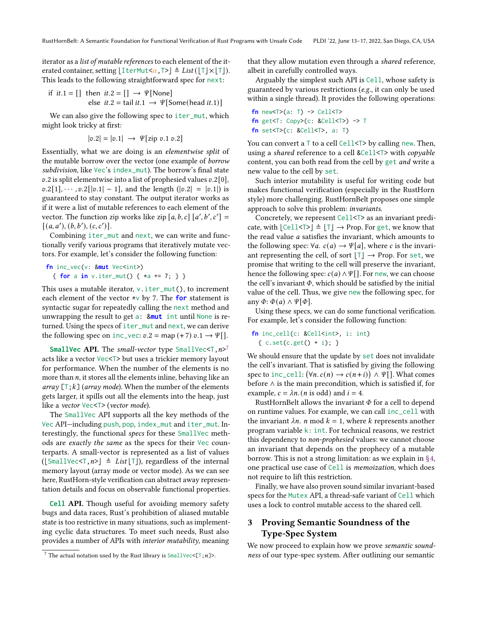iterator as a list of mutable references to each element of the iterated container, setting  $[\text{IterMutz}_{\alpha},T>]\triangleq List([\top] \times [T]).$ This leads to the following straightforward spec for next:

if 
$$
it.1 = []
$$
 then  $it.2 = [] \rightarrow \Psi[\text{None}]$   
else  $it.2 = \text{tail } it.1 \rightarrow \Psi[\text{Some}(\text{head }it.1)]$ 

We can also give the following spec to iter\_mut, which might look tricky at first:

$$
|v.2| = |v.1| \rightarrow \Psi[\text{zip } v.1 \ v.2]
$$

Essentially, what we are doing is an elementwise split of the mutable borrow over the vector (one example of borrow subdivision, like Vec's index\_mut). The borrow's final state  $v.2$  is split elementwise into a list of prophesied values  $v.2[0]$ ,  $v.2[1], \dots, v.2[|v.1| - 1]$ , and the length  $(|v.2| = |v.1|)$  is guaranteed to stay constant. The output iterator works as if it were a list of mutable references to each element of the vector. The function zip works like zip  $[a, b, c]$   $[a', b', c'] =$  $[(a, a'), (b, b'), (c, c')].$ 

Combining iter\_mut and next, we can write and functionally verify various programs that iteratively mutate vectors. For example, let's consider the following function:

```
fn inc_vec(v: &mut Vec<int>)
  { for a in v.iter_mut() { *a += 7; } }
```
This uses a mutable iterator,  $v$ . iter\_mut(), to increment each element of the vector \*v by 7. The **for** statement is syntactic sugar for repeatedly calling the next method and unwrapping the result to get a: &**mut** int until None is returned. Using the specs of iter\_mut and next, we can derive the following spec on inc\_vec:  $v.2 = \text{map}(+7) v.1 \rightarrow \Psi$ [].

SmallVec API. The small-vector type SmallVec<T,  $n>7$  $n>7$ acts like a vector Vec<T> but uses a trickier memory layout for performance. When the number of the elements is no more than  $n$ , it stores all the elements inline, behaving like an array  $[T; k]$  (array mode). When the number of the elements gets larger, it spills out all the elements into the heap, just like a vector Vec<T> (vector mode).

The SmallVec API supports all the key methods of the Vec API—including push, pop, index\_mut and iter\_mut. Interestingly, the functional specs for these SmallVec methods are exactly the same as the specs for their Vec counterparts. A small-vector is represented as a list of values ( $[\text{SmallVec} \leq T, n \geq ] \triangleq List[\top]$ ), regardless of the internal memory layout (array mode or vector mode). As we can see here, RustHorn-style verification can abstract away representation details and focus on observable functional properties.

**Cell** API. Though useful for avoiding memory safety bugs and data races, Rust's prohibition of aliased mutable state is too restrictive in many situations, such as implementing cyclic data structures. To meet such needs, Rust also provides a number of APIs with interior mutability, meaning

that they allow mutation even through a shared reference, albeit in carefully controlled ways.

Arguably the simplest such API is Cell, whose safety is guaranteed by various restrictions (e.g., it can only be used within a single thread). It provides the following operations:

```
fn new<T>(a: T) -> Cell<T>
fn get<T: Copy>(c: & Cell < T) \rightarrow Tfn set<T>(c: &Cell<T>, a: T)
```
You can convert a  $\top$  to a cell Cell< $\top$ >by calling new. Then, using a shared reference to a cell &Cell<T> with copyable content, you can both read from the cell by get and write a new value to the cell by set.

Such interior mutability is useful for writing code but makes functional verification (especially in the RustHorn style) more challenging. RustHornBelt proposes one simple approach to solve this problem: invariants.

Concretely, we represent Cell<T> as an invariant predicate, with  $\lfloor$  Cell<T> $\rfloor$   $\triangleq$   $\lfloor$ T $\rfloor$   $\rightarrow$  Prop. For get, we know that the read value  $a$  satisfies the invariant, which amounts to the following spec:  $\forall a$ .  $c(a) \rightarrow \Psi[a]$ , where c is the invariant representing the cell, of sort  $[T] \rightarrow$  Prop. For set, we promise that writing to the cell will preserve the invariant, hence the following spec:  $c(a) \wedge \Psi$ []. For new, we can choose the cell's invariant  $\Phi$ , which should be satisfied by the initial value of the cell. Thus, we give new the following spec, for any  $\Phi$ :  $\Phi(a) \wedge \Psi[\Phi]$ .

Using these specs, we can do some functional verification. For example, let's consider the following function:

fn inc\_cell(c: &Cell<int>, i: int) { c.set(c.get() + i); }

We should ensure that the update by set does not invalidate the cell's invariant. That is satisfied by giving the following spec to inc\_cell:  $(\forall n. c(n) \rightarrow c(n+i)) \wedge \Psi$ []. What comes before  $\wedge$  is the main precondition, which is satisfied if, for example,  $c = \lambda n$ . (*n* is odd) and  $i = 4$ .

RustHornBelt allows the invariant  $\Phi$  for a cell to depend on runtime values. For example, we can call inc\_cell with the invariant  $\lambda n$ . *n* mod  $k = 1$ , where *k* represents another program variable k: int. For technical reasons, we restrict this dependency to non-prophesied values: we cannot choose an invariant that depends on the prophecy of a mutable borrow. This is not a strong limitation: as we explain in  $\S 4$ , one practical use case of Cell is memoization, which does not require to lift this restriction.

Finally, we have also proven sound similar invariant-based specs for the Mutex API, a thread-safe variant of Cell which uses a lock to control mutable access to the shared cell.

# <span id="page-6-0"></span>3 Proving Semantic Soundness of the Type-Spec System

We now proceed to explain how we prove semantic soundness of our type-spec system. After outlining our semantic

<sup>&</sup>lt;sup>7</sup> The actual notation used by the Rust library is  $SmallVec<[T;n]>$ .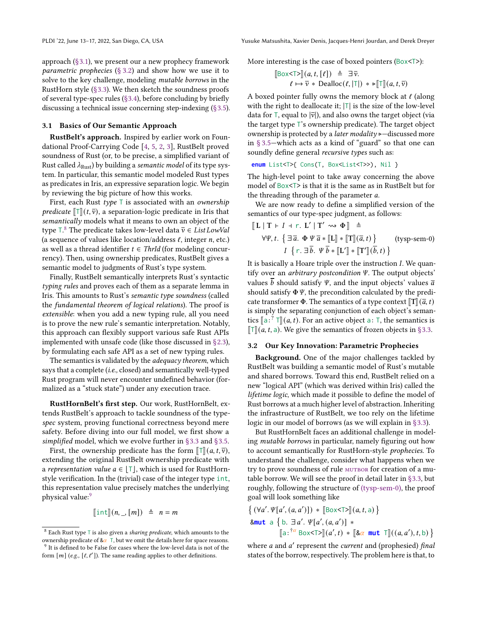approach [\(§3.1\)](#page-7-0), we present our a new prophecy framework parametric prophecies  $(\S 3.2)$  and show how we use it to solve to the key challenge, modeling mutable borrows in the RustHorn style [\(§3.3\)](#page-9-0). We then sketch the soundness proofs of several type-spec rules [\(§3.4\)](#page-10-1), before concluding by briefly discussing a technical issue concerning step-indexing [\(§3.5\)](#page-10-0).

#### <span id="page-7-0"></span>3.1 Basics of Our Semantic Approach

RustBelt's approach. Inspired by earlier work on Foundational Proof-Carrying Code [\[4,](#page-14-22) [5,](#page-14-23) [2,](#page-14-24) [3\]](#page-14-25), RustBelt proved soundness of Rust (or, to be precise, a simplified variant of Rust called  $\lambda_{\text{Rust}}$ ) by building a semantic model of its type system. In particular, this semantic model modeled Rust types as predicates in Iris, an expressive separation logic. We begin by reviewing the big picture of how this works.

First, each Rust type  $\top$  is associated with an ownership *predicate*  $\llbracket \top \rrbracket(t, \overline{v})$ , a separation-logic predicate in Iris that semantically models what it means to own an object of the type ⊺.<sup>[8](#page-0-0)</sup> The predicate takes low-level data  $\overline{v} \in \overline{List\,LowVal}$ (a sequence of values like location/address  $\ell$ , integer  $n$ , etc.) as well as a thread identifier  $t \in ThrId$  (for modeling concurrency). Then, using ownership predicates, RustBelt gives a semantic model to judgments of Rust's type system.

Finally, RustBelt semantically interprets Rust's syntactic typing rules and proves each of them as a separate lemma in Iris. This amounts to Rust's semantic type soundness (called the fundamental theorem of logical relations). The proof is extensible: when you add a new typing rule, all you need is to prove the new rule's semantic interpretation. Notably, this approach can flexibly support various safe Rust APIs implemented with unsafe code (like those discussed in [§2.3\)](#page-5-0), by formulating each safe API as a set of new typing rules.

The semantics is validated by the *adequacy theorem*, which says that a complete (i.e., closed) and semantically well-typed Rust program will never encounter undefined behavior (formalized as a "stuck state") under any execution trace.

RustHornBelt's first step. Our work, RustHornBelt, extends RustBelt's approach to tackle soundness of the typespec system, proving functional correctness beyond mere safety. Before diving into our full model, we first show a simplified model, which we evolve further in [§3.3](#page-9-0) and [§3.5.](#page-10-0)

First, the ownership predicate has the form  $\llbracket \top \rrbracket(a, t, \overline{v})$ , extending the original RustBelt ownership predicate with a representation value  $a \in |T|$ , which is used for RustHornstyle verification. In the (trivial) case of the integer type int, this representation value precisely matches the underlying physical value:<sup>[9](#page-0-0)</sup>

$$
[\![\text{int}](n,\_, [m]) \; \triangleq \; n = m
$$

More interesting is the case of boxed pointers (Box<T>):

$$
\begin{array}{ll}\n\left[\text{Box}\left\{\mathbf{I}\right\}\right](a, t, [\ell]) & \triangleq \exists \overline{\nu}. \\
\ell \mapsto \overline{\nu} * \text{Dealloc}(\ell, |\mathbf{T}|) * \mathbf{I} \end{array}
$$

A boxed pointer fully owns the memory block at  $\ell$  (along with the right to deallocate it;  $|T|$  is the size of the low-level data for  $\overline{\mathsf{T}}$ , equal to  $|\overline{\mathsf{v}}|$ ), and also owns the target object (via the target type T's ownership predicate). The target object ownership is protected by a *later modality* ⊳—discussed more in [§ 3.5—](#page-10-0)which acts as a kind of "guard" so that one can soundly define general recursive types such as:

```
enum List<T>{ Cons(T, Box<List<T>>), Nil }
```
The high-level point to take away concerning the above model of Box<T> is that it is the same as in RustBelt but for the threading through of the parameter  $a$ .

We are now ready to define a simplified version of the semantics of our type-spec judgment, as follows:

<span id="page-7-1"></span>
$$
\llbracket L \mid T \vdash I + r. L' \mid T' \leadsto \Phi \rrbracket \triangleq
$$
  
\n
$$
\forall \Psi, t. \{ \exists \overline{a}. \Phi \Psi \overline{a} * [\llbracket L \rrbracket * [\llbracket T \rrbracket (\overline{a}, t) \} \qquad \text{(tysp-sem-0)}
$$
  
\n
$$
I \{ r. \exists \overline{b}. \Psi \overline{b} * [\llbracket L' \rrbracket * [\llbracket T' \rrbracket (\overline{b}, t) \}
$$
  
\nIt is basically a Hoare triple over the instruction *I*. We quan-

tify over an *arbitrary postcondition*  $\Psi$ . The output objects' values  $\overline{b}$  should satisfy  $\Psi$ , and the input objects' values  $\overline{a}$ should satisfy  $\Phi \Psi$ , the precondition calculated by the predicate transformer  $\Phi$ . The semantics of a type context  $\llbracket T \rrbracket(\overline{a}, t)$ is simply the separating conjunction of each object's semantics  $[\![a : \n3 : \n3 : \n4] \cdot (a, t)$ . For an active object a: T, the semantics is  $[\![\n3 : \n4 : \n5 : \n5 : \n6 : \n6 : \n7 : \n7 : \n7 : \n8 : \n8 : \n9 : \n10 : \n11 : \n12 : \n13 : \n14 : \n15 : \n16 : \n17 : \n18 : \n19 : \n10 : \n11 : \n12 : \n13 : \n14 : \n15 : \n16 : \n17 : \n18$  $\llbracket \text{T} \rrbracket(a, t, a)$ . We give the semantics of frozen objects in [§3.3.](#page-9-0)

#### <span id="page-7-2"></span>3.2 Our Key Innovation: Parametric Prophecies

Background. One of the major challenges tackled by RustBelt was building a semantic model of Rust's mutable and shared borrows. Toward this end, RustBelt relied on a new "logical API" (which was derived within Iris) called the lifetime logic, which made it possible to define the model of Rust borrows at a much higher level of abstraction. Inheriting the infrastructure of RustBelt, we too rely on the lifetime logic in our model of borrows (as we will explain in [§3.3\)](#page-9-0).

But RustHornBelt faces an additional challenge in modeling mutable borrows in particular, namely figuring out how to account semantically for RustHorn-style *prophecies*. To understand the challenge, consider what happens when we try to prove soundness of rule MUTBOR for creation of a mutable borrow. We will see the proof in detail later in [§3.3,](#page-9-0) but roughly, following the structure of [\(tysp-sem-0\),](#page-7-1) the proof goal will look something like

$$
\{ (\forall a'. \Psi[a', (a, a')]) * [\exists 0 \times \exists \exists ] (a, t, a) \}
$$
  
8~~mut~~ a {b.  $\exists a'. \Psi[a', (a, a')] * [\exists a : \exists a' \text{Box} \forall \exists ] ((a', t) * [\exists a \text{ mut } \exists ] ((a, a'), t, b) \}$ 

where *a* and *a'* represent the *current* and (prophesied) final states of the borrow, respectively. The problem here is that, to

 $8$  Each Rust type  $\top$  is also given a *sharing predicate*, which amounts to the ownership predicate of & $\alpha$  T, but we omit the details here for space reasons. <sup>9</sup> It is defined to be False for cases where the low-level data is not of the form  $[m]$  (e.g.,  $[\ell, \ell']$ ). The same reading applies to other definitions.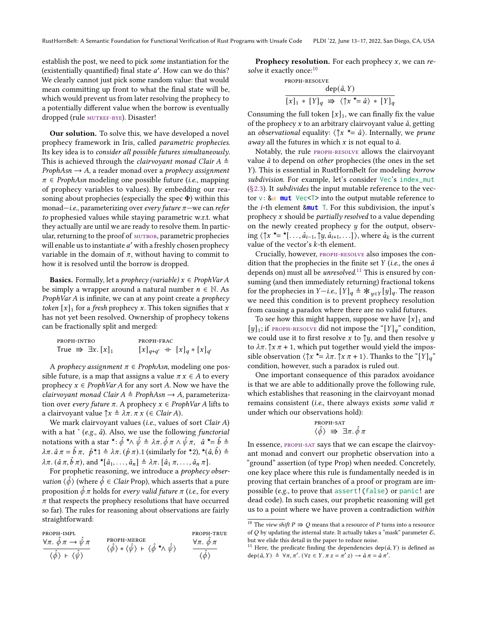establish the post, we need to pick some instantiation for the (existentially quantified) final state  $a'$ . How can we do this? We clearly cannot just pick some random value: that would mean committing up front to what the final state will be, which would prevent us from later resolving the prophecy to a potentially different value when the borrow is eventually dropped (rule MUTREF-BYE). Disaster!

Our solution. To solve this, we have developed a novel prophecy framework in Iris, called parametric prophecies. Its key idea is to consider all possible futures simultaneously. This is achieved through the *clairvoyant monad Clair A*  $\triangleq$  $ProphAsn \rightarrow A$ , a reader monad over a *prophecy* assignment  $\pi \in$  ProphAsn modeling one possible future (*i.e.*, mapping of prophecy variables to values). By embedding our reasoning about prophecies (especially the spec  $\Phi$ ) within this monad—i.e., parameterizing over every future  $\pi$ —we can refer to prophesied values while staying parametric w.r.t. what they actually are until we are ready to resolve them. In particular, returning to the proof of MUTBOR, parametric prophecies will enable us to instantiate  $a'$  with a freshly chosen prophecy variable in the domain of  $\pi$ , without having to commit to how it is resolved until the borrow is dropped.

**Basics.** Formally, let a *prophecy (variable)*  $x \in \text{ProbVar} A$ be simply a wrapper around a natural number  $n \in \mathbb{N}$ . As *ProphVar A* is infinite, we can at any point create a *prophecy* token  $[x]_1$  for a fresh prophecy x. This token signifies that x has not yet been resolved. Ownership of prophecy tokens can be fractionally split and merged:

| PROPH-INTRO                         | PROPH-FRAC                        |  |  |
|-------------------------------------|-----------------------------------|--|--|
| True $\Rightarrow \exists x. [x]_1$ | $[x]_{q+q'}$ + $[x]_q * [x]_{q'}$ |  |  |

A prophecy assignment  $\pi \in$  ProphAsn, modeling one possible future, is a map that assigns a value  $\pi x \in A$  to every prophecy  $x \in \text{ProphVar}\,A$  for any sort A. Now we have the clairvoyant monad Clair  $A \triangleq$  ProphAsn  $\rightarrow$  A, parameterization over every future  $\pi$ . A prophecy  $x \in \text{Prop}h\text{Var}\,A$  lifts to a clairvoyant value  $\uparrow x \triangleq \lambda \pi$ .  $\pi x \in \text{Clair } A$ ).

We mark clairvoyant values (i.e., values of sort Clair  $A$ ) with a hat  $\hat{ }$  (e.g.,  $\hat{a}$ ). Also, we use the following functorial notations with a star \*:  $\hat{\phi}$  \* $\wedge \hat{\psi} = \lambda \pi$ .  $\hat{\phi} \pi \wedge \hat{\psi} \pi$ ,  $\hat{a}$  \*=  $\hat{b}$   $\triangleq$  $\lambda \pi$ .  $\hat{a} \pi = \hat{b} \pi$ ,  $\hat{p}^{\star}1 \triangleq \lambda \pi$ .  $(\hat{p} \pi)$ . 1 (similarly for  $\hat{a}$ ,  $\hat{b}$ ),  $\hat{b}$   $\hat{b}$ )  $\hat{c}$  $\lambda \pi$ .  $(\hat{a} \pi, \hat{b} \pi)$ , and  $\star [\hat{a}_1, \ldots, \hat{a}_n] \triangleq \lambda \pi$ .  $[\hat{a}_1 \pi, \ldots, \hat{a}_n \pi]$ .

For prophetic reasoning, we introduce a prophecy obser*vation*  $\langle \hat{\phi} \rangle$  (where  $\hat{\phi} \in$  *Clair Prop*), which asserts that a pure proposition  $\ddot{\phi}$   $\pi$  holds for every valid future  $\pi$  (i.e., for every  $\pi$  that respects the prophecy resolutions that have occurred so far). The rules for reasoning about observations are fairly straightforward:

| PROPH-IMPL<br>$\forall \pi. \phi \pi \rightarrow \psi \pi$ | PROPH-MERGE                                                                                                    | PROPH-TRUE<br>$\forall \pi. \phi \pi$ |
|------------------------------------------------------------|----------------------------------------------------------------------------------------------------------------|---------------------------------------|
| $\langle \phi \rangle$ + $\langle \psi \rangle$            | $\langle \hat{\phi} \rangle * \langle \hat{\psi} \rangle + \langle \hat{\phi} \star \wedge \hat{\psi} \rangle$ | $\langle \phi \rangle$                |

**Prophecy resolution.** For each prophecy  $x$ , we can re-solve it exactly once:<sup>[10](#page-0-0)</sup>

<span id="page-8-0"></span>PROPH-RESOLVE

\n
$$
\frac{\text{dep}(\hat{a}, Y)}{[x]_1 * [Y]_q \implies \langle \uparrow x \stackrel{\star}{=} \hat{a} \rangle * [Y]_q}
$$

Consuming the full token  $[x]_1$ , we can finally fix the value of the prophecy  $x$  to an arbitrary clairvoyant value  $\hat{a}$ , getting an observational equality:  $\langle \uparrow x \rangle^* = \hat{a}$ . Internally, we prune *away* all the futures in which  $x$  is not equal to  $\hat{a}$ .

Notably, the rule [proph-resolve](#page-8-0) allows the clairvoyant value  $\hat{a}$  to depend on *other* prophecies (the ones in the set ). This is essential in RustHornBelt for modeling borrow subdivision. For example, let's consider Vec's index\_mut  $(S2.3)$ . It *subdivides* the input mutable reference to the vector  $v: \& \alpha$  mut Vec<T> into the output mutable reference to the *i*-th element  $\& \text{mut}$  T. For this subdivision, the input's prophecy  $x$  should be *partially resolved* to a value depending on the newly created prophecy  $y$  for the output, observing  $\langle \uparrow x \star = \star[...,\hat{a}_{i-1}, \uparrow y, \hat{a}_{i+1},...] \rangle$ , where  $\hat{a}_k$  is the current value of the vector's  $k$ -th element.

Crucially, however, [proph-resolve](#page-8-0) also imposes the condition that the prophecies in the finite set  $Y$  (i.e., the ones  $\hat{a}$ depends on) must all be *unresolved*.<sup>[11](#page-0-0)</sup> This is ensured by consuming (and then immediately returning) fractional tokens for the prophecies in  $Y - i.e., [Y]_q \triangleq \mathcal{X}_{y \in Y}[y]_q$ . The reason we need this condition is to prevent prophecy resolution from causing a paradox where there are no valid futures.

To see how this might happen, suppose we have  $[x]_1$  and [y]<sub>1</sub>; if [proph-resolve](#page-8-0) did not impose the "[Y]<sub>a</sub>" condition, we could use it to first resolve  $x$  to  $\uparrow y$ , and then resolve  $y$ to  $\lambda \pi$ .  $\gamma x \pi + 1$ , which put together would yield the impossible observation  $\langle \uparrow x \star = \lambda \pi. \uparrow x \pi + 1 \rangle$ . Thanks to the "[Y]<sub>q</sub>" condition, however, such a paradox is ruled out.

One important consequence of this paradox avoidance is that we are able to additionally prove the following rule, which establishes that reasoning in the clairvoyant monad remains consistent (*i.e.*, there always exists some valid  $\pi$ under which our observations hold):

<span id="page-8-1"></span>
$$
\begin{array}{c}\n\text{proph-sat} \\
\langle \hat{\phi} \rangle \implies \exists \pi. \, \hat{\phi} \, \pi\n\end{array}
$$

In essence, [proph-sat](#page-8-1) says that we can escape the clairvoyant monad and convert our prophetic observation into a "ground" assertion (of type Prop) when needed. Concretely, one key place where this rule is fundamentally needed is in proving that certain branches of a proof or program are impossible (e.g., to prove that assert!(false) or panic! are dead code). In such cases, our prophetic reasoning will get us to a point where we have proven a contradiction within

 $^{10}$  The view shift  $P \Rrightarrow Q$  means that a resource of  $P$  turns into a resource of  $Q$  by updating the internal state. It actually takes a "mask" parameter  $\mathcal{E}$ , but we elide this detail in the paper to reduce noise.

<sup>&</sup>lt;sup>11</sup> Here, the predicate finding the dependencies dep( $\hat{a}$ ,  $Y$ ) is defined as  $dep(\hat{a}, Y) \triangleq \forall \pi, \pi'. (\forall z \in Y. \pi z = \pi' z) \rightarrow \hat{a} \pi = \hat{a} \pi'.$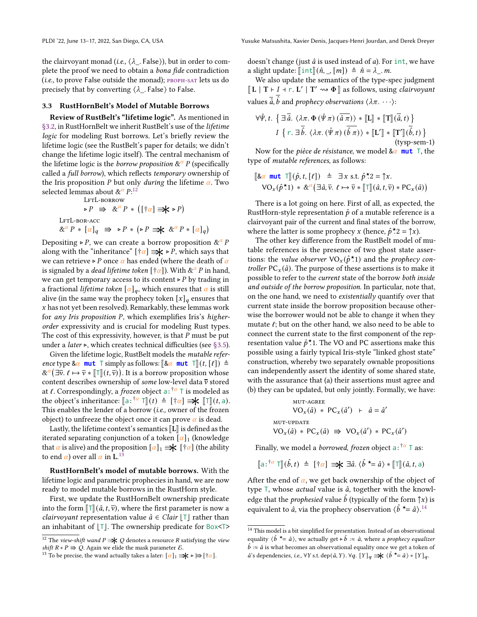the clairvoyant monad (*i.e.*,  $\langle \lambda \rangle$ . False)), but in order to complete the proof we need to obtain a bona fide contradiction  $(i.e.,$  to prove False outside the monad);  $PROPH-SAT$  lets us do precisely that by converting  $\langle \lambda$ . False $\rangle$  to False.

### <span id="page-9-0"></span>3.3 RustHornBelt's Model of Mutable Borrows

Review of RustBelt's "lifetime logic". As mentioned in [§3.2,](#page-7-2) in RustHornBelt we inherit RustBelt's use of the lifetime logic for modeling Rust borrows. Let's briefly review the lifetime logic (see the RustBelt's paper for details; we didn't change the lifetime logic itself). The central mechanism of the lifetime logic is the *borrow proposition*  $\&^{\alpha} P$  (specifically called a full borrow), which reflects temporary ownership of the Iris proposition P but only *during* the lifetime  $\alpha$ . Two selected lemmas about  $&^{\alpha}P:^{12}$  $&^{\alpha}P:^{12}$  $&^{\alpha}P:^{12}$ 

<span id="page-9-3"></span><span id="page-9-2"></span>LFTL-BORROW

 $\triangleright P \Rightarrow \&^{\alpha} P * ([\dagger \alpha] \Rightarrow \downarrow \triangleright P)$ LFTL-BOR-ACC  $\&^{\alpha} P \ast [\alpha]_q \Rightarrow \triangleright P \ast (\triangleright P \Rightarrow \bigstar \&^{\alpha} P \ast [\alpha]_q)$ 

Depositing ⊳ P, we can create a borrow proposition  $\&^{\alpha}P$ along with the "inheritance" [† $\alpha$ ] ⇒  $\blacktriangleright$  P, which says that we can retrieve ⊳ P once  $\alpha$  has ended (where the death of  $\alpha$ is signaled by a *dead lifetime token* [† $\alpha$ ]). With &<sup> $\alpha$ </sup> P in hand, we can get temporary access to its content  $\triangleright$  P by trading in a fractional lifetime token  $[\alpha]_a$ , which ensures that  $\alpha$  is still alive (in the same way the prophecy token  $[x]_q$  ensures that  $x$  has not yet been resolved). Remarkably, these lemmas work for any Iris proposition  $P$ , which exemplifies Iris's higherorder expressivity and is crucial for modeling Rust types. The cost of this expressivity, however, is that  $P$  must be put under a *later* ⊳, which creates technical difficulties (see [§3.5\)](#page-10-0).

Given the lifetime logic, RustBelt models the mutable reference type &  $\alpha$  mut  $\top$  simply as follows:  $\llbracket \& \alpha \mod \top \rrbracket$   $(t, [\ell]) \triangleq$  $\&^{\alpha}(\exists \overline{v}, \ell \mapsto \overline{v} * [\![\top]\!](t, \overline{v}))$ . It is a borrow proposition whose content describes ownership of some low-level data  $\bar{v}$  stored at  $\ell$ . Correspondingly, a *frozen* object a:  $\frac{1}{\ell}$  T is modeled as the object's inheritance:  $[\mathsf{a}: \mathsf{a} \in \mathsf{T}](t) \triangleq [\mathsf{a} \in \mathsf{a}] \implies [\mathsf{T}](t, \mathsf{a})$ .<br>This enables the lander of a berrow (i.e. owner of the frozen This enables the lender of a borrow (i.e., owner of the frozen object) to unfreeze the object once it can prove  $\alpha$  is dead.

Lastly, the lifetime context's semantics  $\llbracket L \rrbracket$  is defined as the iterated separating conjunction of a token  $\lceil \alpha \rceil_1$  (knowledge that  $\alpha$  is alive) and the proposition  $\alpha_1 \Rightarrow \mathbf{k}$  [ $\dagger \alpha$ ] (the ability to end  $\alpha$ ) over all  $\alpha$  in L.<sup>[13](#page-0-0)</sup>

RustHornBelt's model of mutable borrows. With the lifetime logic and parametric prophecies in hand, we are now ready to model mutable borrows in the RustHorn style.

First, we update the RustHornBelt ownership predicate into the form  $\llbracket \top \rrbracket(\hat{a}, t, \overline{v})$ , where the first parameter is now a *clairvoyant* representation value  $\hat{a} \in \text{Clair} \mid \top$  rather than an inhabitant of  $[T]$ . The ownership predicate for Box<T> doesn't change (just  $\hat{a}$  is used instead of  $a$ ). For int, we have a slight update:  $\[\text{int}\](\hat{n}, \cdot, [m]) \triangleq \hat{n} = \lambda \cdot m.$ 

We also update the semantics of the type-spec judgment  $\llbracket L \mid T \vdash I + r. L' \mid T' \leadsto \Phi \rrbracket$  as follows, using *clairvoyant* values  $\overline{\hat a},\overline{\hat b}$  and  $prophecy$  observations  $\langle\lambda\pi.\ \cdots\rangle$ :

<span id="page-9-1"></span>
$$
\forall \hat{\Psi}, t. \left\{ \exists \overline{\hat{a}}. \langle \lambda \pi. \Phi \left( \hat{\Psi} \pi \right) \left( \overline{\hat{a}} \pi \right) \rangle * [\![\mathbf{L}]\!] * [\![\mathbf{T}]\!](\overline{\hat{a}}, t) \right\}
$$
\n
$$
I \left\{ r. \exists \overline{\hat{b}}. \langle \lambda \pi. \left( \hat{\Psi} \pi \right) \left( \overline{\hat{b}} \pi \right) \rangle * [\![\mathbf{L}']\!] * [\![\mathbf{T}']\!](\overline{\hat{b}}, t) \right\}
$$
\n(tvso-sem-1)

Now for the *pièce de résistance*, we model  $\&\alpha$  **mut** T, the type of mutable references, as follows:

$$
\begin{aligned}\n\left[\mathbf{\&\alpha} \text{ mut } \mathsf{T}\right](\hat{p}, t, [\ell]) & \triangleq \exists x \text{ s.t. } \hat{p}^{\star}2 = \uparrow x. \\
\mathsf{VO}_x(\hat{p}^{\star}1) & \ast \& \alpha \left(\exists \hat{a}, \overline{v}. \ell \mapsto \overline{v} \ast \left[\mathsf{T}\right](\hat{a}, t, \overline{v}) \ast \mathsf{PC}_x(\hat{a})\right)\n\end{aligned}
$$

There is a lot going on here. First of all, as expected, the RustHorn-style representation  $\hat{p}$  of a mutable reference is a clairvoyant pair of the current and final states of the borrow, where the latter is some prophecy x (hence,  $\hat{p}^{\star}2 = \hat{k}$ ).

The other key difference from the RustBelt model of mutable references is the presence of two ghost state assertions: the value observer  $VO_x(\hat{p}^\star)$  and the prophecy controller PC<sub>x</sub>( $\hat{a}$ ). The purpose of these assertions is to make it possible to refer to the current state of the borrow both inside and outside of the borrow proposition. In particular, note that, on the one hand, we need to existentially quantify over that current state inside the borrow proposition because otherwise the borrower would not be able to change it when they mutate  $\ell$ ; but on the other hand, we also need to be able to connect the current state to the first component of the representation value  $\hat{p}$ \*1. The VO and PC assertions make this possible using a fairly typical Iris-style "linked ghost state" construction, whereby two separately ownable propositions can independently assert the identity of some shared state, with the assurance that (a) their assertions must agree and (b) they can be updated, but only jointly. Formally, we have:

<span id="page-9-4"></span>MUT-AGREE  
\n
$$
VO_{x}(\hat{a}) * PC_{x}(\hat{a}') + \hat{a} = \hat{a}'
$$
\nMUT-UPDATE  
\n
$$
VO_{x}(\hat{a}) * PC_{x}(\hat{a}) \implies VO_{x}(\hat{a}') * PC_{x}(\hat{a}')
$$

Finally, we model a *borrowed, frozen* object a:  $^{\dagger\alpha}$  T as:

$$
[\![a \,:\, ]^{\alpha} \top ]\!](\hat{b},t) \triangleq [\![\dagger \alpha] \Longrightarrow \exists \hat{a}. \langle \hat{b} \star \equiv \hat{a} \rangle * [\![\top ]\!](\hat{a},t,a)
$$

After the end of  $\alpha$ , we get back ownership of the object of type  $\top$ , whose *actual* value is  $\hat{a}$ , together with the knowledge that the *prophesied* value  $\hat{b}$  (typically of the form  $\hat{}$ ) is equivalent to  $\hat{a}$ , via the prophecy observation  $\langle \hat{b} \rangle^* = \hat{a} \rangle^{14}$  $\langle \hat{b} \rangle^* = \hat{a} \rangle^{14}$  $\langle \hat{b} \rangle^* = \hat{a} \rangle^{14}$ .

<sup>&</sup>lt;sup>12</sup> The view-shift wand  $P \rightrightarrows Q$  denotes a resource  $R$  satisfying the view shift  $R * P \Rightarrow Q$ . Again we elide the mask parameter  $\mathcal{E}$ .

<sup>&</sup>lt;sup>13</sup> To be precise, the wand actually takes a later:  $\lceil \alpha \rceil_1 \Rightarrow k \geq \frac{1}{\lceil \alpha \rceil}$ .

<sup>&</sup>lt;sup>14</sup> This model is a bit simplified for presentation. Instead of an observational equality  $\langle \hat{b} \rangle^* = \hat{a}$ , we actually get ⊳  $\hat{b} \approx \hat{a}$ , where a *prophecy equalizer*  $\hat{b}$  : $\approx \hat{a}$  is what becomes an observational equality once we get a token of  $\hat{a}$ 's dependencies, *i.e.*, ∀Y s.t. dep $(\hat{a}, Y)$ . ∀q.  $[Y]_q \implies \langle \hat{b} \star \hat{=} \hat{a} \rangle * [Y]_q$ .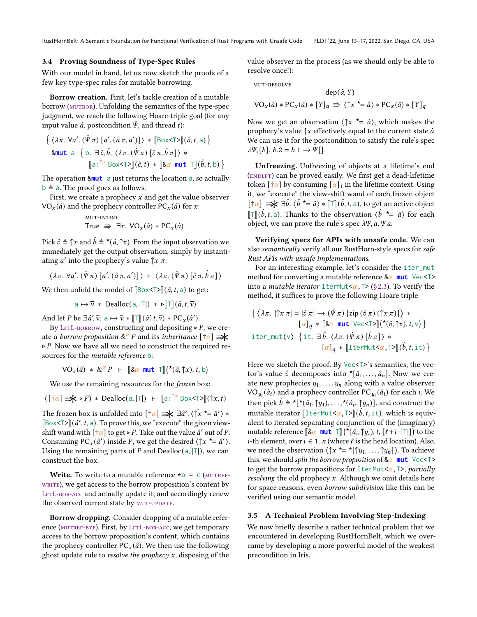#### <span id="page-10-1"></span>3.4 Proving Soundness of Type-Spec Rules

With our model in hand, let us now sketch the proofs of a few key type-spec rules for mutable borrowing.

Borrow creation. First, let's tackle creation of a mutable borrow (MUTBOR). Unfolding the semantics of the type-spec judgment, we reach the following Hoare-triple goal (for any input value  $\hat{a}$ , postcondition  $\hat{\Psi}$ , and thread t):

$$
\{\langle \lambda \pi. \forall a'. (\hat{\Psi} \pi) [a', (\hat{a} \pi, a')] \rangle * [\text{Box}\langle \text{T} \rangle](\hat{a}, t, a) \}
$$
  
8 $\text{mut a } \{b. \exists \hat{c}, \hat{b}. \langle \lambda \pi. (\hat{\Psi} \pi) [\hat{c} \pi, \hat{b} \pi] \rangle * [\text{a}: ^{\uparrow \alpha} \text{Box}\langle \text{T} \rangle](\hat{c}, t) * [\text{Box min} \top](\hat{b}, t, b) \}$ 

The operation &**mut** a just returns the location a, so actually  $b \triangleq a$ . The proof goes as follows.

First, we create a prophecy  $x$  and get the value observer  $VO_x(\hat{a})$  and the prophecy controller  $PC_x(\hat{a})$  for x:

$$
\begin{array}{ll}\n\text{MUT-INTRO} \\
\text{True} & \Rightarrow \exists x. \text{ VO}_x(\hat{a}) * \text{PC}_x(\hat{a})\n\end{array}
$$

Pick  $\hat{c} \triangleq \hat{ } x$  and  $\hat{b} \triangleq \star(\hat{a}, \hat{ } x)$ . From the input observation we immediately get the output observation, simply by instantiating *a'* into the prophecy's value  $\uparrow x \pi$ :

$$
\langle \lambda \pi. \ \forall a'. \ (\hat{\Psi} \pi) \ [a', (\hat{a} \pi, a') \] \rangle \ \vdash \ \langle \lambda \pi. \ (\hat{\Psi} \pi) \ [\hat{c} \ \pi, \hat{b} \ \pi] \rangle
$$

We then unfold the model of  $\left[\text{Box}\right]\left(\hat{a}, t, a\right)$  to get:

 $a \mapsto \overline{v} * \text{Dealloc}(a, |\mathsf{T}|) * \mathsf{P}[\mathsf{T}](\hat{a}, t, \overline{v})$ 

And let *P* be  $\exists \hat{a}', \overline{v}$ ,  $a \mapsto \overline{v} * [\![\top\!](\hat{a}', t, \overline{v}) * \text{PC}_x(\hat{a}').$ 

By LFTL-BORROW, constructing and depositing  $>e P$ , we create a *borrow proposition*  $\&^{\alpha}P$  and its *inheritance* [ $\dagger \alpha$ ] ⊲ . Now we have all we need to construct the required resources for the mutable reference b:

 $\text{VO}_x(\hat{a}) \; * \; \&^{\alpha} P \;\; \vdash \;\; [\![\&\alpha \text{ mut } \top]\!](\star(\hat{a}, \uparrow x), t, \text{b})$ 

We use the remaining resources for the *frozen* box:

$$
([\dagger \alpha] \implies \mathbf{P}) * \text{Dealloc}(a, |\mathsf{T}|) + [\![a \cdot \mathsf{A}^{\dagger} \text{Box} \mathsf{A} \mathsf{T} \mathsf{B}] (\uparrow x, t)]
$$

The frozen box is unfolded into  $[\dagger \alpha] \rightrightarrows \dagger \exists \hat{a}'. \langle \hat{\uparrow x} \rangle = \hat{a}' \rangle *$  $[\text{Box}](\hat{a}', t, a)$ . To prove this, we "execute" the given view-<br>shift wond with  $[\pm \alpha]$  to get a *B*. Take out the value  $\hat{a}'$  out of *B*. shift wand with  $\left[\frac{1}{4} \alpha\right]$  to get ⊳ P. Take out the value  $\hat{a}'$  out of P. Consuming  $PC_x(\hat{a}')$  inside P, we get the desired  $\langle \uparrow x \star = \hat{a}' \rangle$ . Using the remaining parts of P and Dealloc(a,  $|T|$ ), we can construct the box.

Write. To write to a mutable reference  $*b = c$  (MUTREFwRITE), we get access to the borrow proposition's content by LFTL-BOR-ACC and actually update it, and accordingly renew the observed current state by MUT-UPDATE.

Borrow dropping. Consider dropping of a mutable reference (MUTREF-BYE). First, by LFTL-BOR-ACC, we get temporary access to the borrow proposition's content, which contains the prophecy controller  $PC_x(\hat{a})$ . We then use the following ghost update rule to *resolve the prophecy* x, disposing of the

value observer in the process (as we should only be able to resolve once!):

mut-resolve

<span id="page-10-2"></span>
$$
\frac{\text{dep}(\hat{a}, Y)}{\text{VO}_x(\hat{a}) * \text{PC}_x(\hat{a}) * [Y]_q \implies \langle \uparrow x \xleftarrow{\star} = \hat{a} \rangle * \text{PC}_x(\hat{a}) * [Y]_q}
$$

Now we get an observation  $\langle \uparrow x \star = \hat{a} \rangle$ , which makes the prophecy's value  $\uparrow x$  effectively equal to the current state  $\hat{a}$ . We can use it for the postcondition to satisfy the rule's spec  $\lambda \Psi$ , [b].  $b.2 = b.1 \rightarrow \Psi$ [].

Unfreezing. Unfreezing of objects at a lifetime's end (ENDLFT) can be proved easily. We first get a dead-lifetime token  $\left[\frac{1}{\alpha}\right]$  by consuming  $\left[\frac{\alpha}{1}\right]$  in the lifetime context. Using it, we "execute" the view-shift wand of each frozen object  $[\dagger \alpha] \implies \exists \hat{b}$ .  $\langle \hat{b} \rangle^* = \hat{a} \rangle \times [\![\top]\!](\hat{b}, t, a)$ , to get an active object  $\[\mathbb{T}](\hat{b}, t, a)$ . Thanks to the observation  $\langle \hat{b} \rangle^* = \hat{a}$  for each object we can prove the rule's gness  $\frac{1}{\sqrt[n]{a}}$   $\mathbb{Z}$ object, we can prove the rule's spec  $\lambda \Psi$ ,  $\overline{a}$ .  $\Psi \overline{a}$ .

Verifying specs for APIs with unsafe code. We can also semantically verify all our RustHorn-style specs for safe Rust APIs with unsafe implementations.

For an interesting example, let's consider the iter\_mut method for converting a mutable reference  $\&\alpha$  mut Vec<T> into a *mutable iterator* IterMut $\langle \alpha, \nabla \rangle$  [\(§2.3\)](#page-5-0). To verify the method, it suffices to prove the following Hoare triple:

$$
\left\{ \langle \lambda \pi. \mid \uparrow x \pi \mid = \mid \hat{v} \pi \mid \to (\hat{\Psi} \pi) \left[ zip (\hat{v} \pi) (\uparrow x \pi) \right] \rangle * \right. \right. \n\left. [\alpha]_q * [\&\alpha \text{ mut } \forall e \in \text{TS}](\star(\hat{v}, \uparrow x), t, v) \right\}
$$
\n
$$
\text{iter\_mut}(v) \left\{ i\mathbf{t.} \exists \hat{b}. \langle \lambda \pi. (\hat{\Psi} \pi) [\hat{b} \pi] \rangle * \right. \left. [\alpha]_q * [\text{IterMutz}(\alpha, \text{TS}](\hat{b}, t, it) \right\}
$$

Here we sketch the proof. By Vec<T>'s semantics, the vector's value  $\hat{v}$  decomposes into  $\star [\hat{a}_1, \ldots, \hat{a}_n]$ . Now we create new prophecies  $y_1, \ldots, y_n$  along with a value observer VO<sub> $y_i$ </sub> $(\hat{a}_i)$  and a prophecy controller PC<sub> $y_i$ </sub> $(\hat{a}_i)$  for each *i*. We then pick  $\hat{b} \triangleq \star [\star(\hat{a}_1, \hat{b}_1), \ldots, \star(\hat{a}_n, \hat{b}_n)]$ , and construct the mutable iterator  $[[\text{IterMutS}\alpha, \text{Tr}](\hat{b}, t, \text{it})$ , which is equivalent to iterated separating conjunction of the (imaginary) mutable reference  $\left[\mathbf{A}\alpha \mod \mathbf{m} \mathbf{u}^{\dagger}\right] (\mathbf{A}(\hat{a}_i, \hat{a}_j), t, [\ell + i \cdot |\mathbf{T}|]$  to the *i*-th element, over  $i \in 1..n$  (where  $\ell$  is the head location). Also, we need the observation  $\langle \uparrow x \star = \star [\uparrow y_1, \ldots, \uparrow y_n] \rangle$ . To achieve this, we should split the borrow proposition of  $\alpha$  mut Vec<T> to get the borrow propositions for IterMut $\langle \alpha, \mathsf{T} \rangle$ , partially *resolving* the old prophecy  $x$ . Although we omit details here for space reasons, even borrow subdivision like this can be verified using our semantic model.

#### <span id="page-10-0"></span>3.5 A Technical Problem Involving Step-Indexing

We now briefly describe a rather technical problem that we encountered in developing RustHornBelt, which we overcame by developing a more powerful model of the weakest precondition in Iris.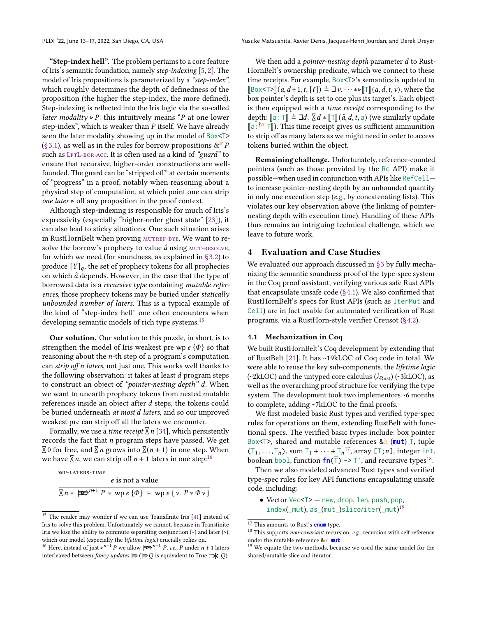"Step-index hell". The problem pertains to a core feature of Iris's semantic foundation, namely step-indexing [\[5,](#page-14-23) [2\]](#page-14-24). The model of Iris propositions is parameterized by a "step-index", which roughly determines the depth of definedness of the proposition (the higher the step-index, the more defined). Step-indexing is reflected into the Iris logic via the so-called *later modality* ⊳ P: this intuitively means "P at one lower step-index", which is weaker than  $P$  itself. We have already seen the later modality showing up in the model of Box<T> [\(§3.1\)](#page-7-0), as well as in the rules for borrow propositions  $\&^{\alpha}$  P such as LFTL-BOR-ACC. It is often used as a kind of "guard" to ensure that recursive, higher-order constructions are wellfounded. The guard can be "stripped off" at certain moments of "progress" in a proof, notably when reasoning about a physical step of computation, at which point one can strip one later  $>$  off any proposition in the proof context.

Although step-indexing is responsible for much of Iris's expressivity (especially "higher-order ghost state" [\[23\]](#page-14-18)), it can also lead to sticky situations. One such situation arises in RustHornBelt when proving MUTREF-BYE. We want to resolve the borrow's prophecy to value  $\hat{a}$  using  $MUT-RESOLVE$ , for which we need (for soundness, as explained in [§3.2\)](#page-7-2) to produce  $[Y]_q$ , the set of prophecy tokens for all prophecies on which  $\hat{a}$  depends. However, in the case that the type of borrowed data is a recursive type containing mutable references, those prophecy tokens may be buried under statically unbounded number of laters. This is a typical example of the kind of "step-index hell" one often encounters when developing semantic models of rich type systems.<sup>[15](#page-0-0)</sup>

Our solution. Our solution to this puzzle, in short, is to strengthen the model of Iris weakest pre wp  $e \{\Phi\}$  so that reasoning about the  $n$ -th step of a program's computation can *strip off n laters*, not just one. This works well thanks to the following observation: it takes at least  $d$  program steps to construct an object of "pointer-nesting depth" d. When we want to unearth prophecy tokens from nested mutable references inside an object after  $d$  steps, the tokens could be buried underneath at most d laters, and so our improved weakest pre can strip off all the laters we encounter.

Formally, we use a *time receipt*  $\Sigma$  *n* [\[34\]](#page-15-12), which persistently records the fact that  $n$  program steps have passed. We get  $\overline{\chi}$  0 for free, and  $\overline{\chi}$  n grows into  $\overline{\chi}(n+1)$  in one step. When we have  $\overline{\times}$  *n*, we can strip off  $n + 1$  laters in one step:<sup>[16](#page-0-0)</sup>

$$
\frac{e \text{ is not a value}}{\sqrt{\pi * |x|^2 + \sqrt{P * w}} e \{ \Phi \} + \sqrt{P * \Psi} e \{ v. P * \Phi v \}}
$$

We then add a *pointer-nesting depth* parameter d to Rust-HornBelt's ownership predicate, which we connect to these time receipts. For example, Box<T>'s semantics is updated to  $\lbrack \lbrack \rbrack$ Box<T> $\rbrack (a, d+1, t, \lbrack \ell \rbrack) \triangleq \exists \bar{\nu}$ .  $\cdots \ast \triangleright \lbrack \lbrack \lbrack (a, d, t, \bar{\nu})$ , where the box pointer's depth is set to one plus its target's. Each object is then equipped with a time receipt corresponding to the depth:  $[\![a:\top]\!] \triangleq \exists d$ .  $[\![\top]\!] (\hat{a}, d, t, a)$  (we similarly update  $[\![a]^{\dagger} \alpha \top]$ ). This time receipt gives us sufficient ammunition<br>to strip off as many laters as we might need in order to access to strip off as many laters as we might need in order to access tokens buried within the object.

Remaining challenge. Unfortunately, reference-counted pointers (such as those provided by the Rc API) make it possible—when used in conjunction with APIs like RefCell to increase pointer-nesting depth by an unbounded quantity in only one execution step (e.g., by concatenating lists). This violates our key observation above (the linking of pointernesting depth with execution time). Handling of these APIs thus remains an intriguing technical challenge, which we leave to future work.

# <span id="page-11-1"></span>4 Evaluation and Case Studies

We evaluated our approach discussed in [§3](#page-6-0) by fully mechanizing the semantic soundness proof of the type-spec system in the Coq proof assistant, verifying various safe Rust APIs that encapsulate unsafe code [\(§4.1\)](#page-11-0). We also confirmed that RustHornBelt's specs for Rust APIs (such as IterMut and Cell) are in fact usable for automated verification of Rust programs, via a RustHorn-style verifier Creusot [\(§4.2\)](#page-12-0).

## <span id="page-11-0"></span>4.1 Mechanization in Coq

We built RustHornBelt's Coq development by extending that of RustBelt [\[21\]](#page-14-4). It has ~19kLOC of Coq code in total. We were able to reuse the key sub-components, the lifetime logic (~2kLOC) and the untyped core calculus ( $\lambda_{\text{Rust}}$ ) (~3kLOC), as well as the overarching proof structure for verifying the type system. The development took two implementors ~6 months to complete, adding ~7kLOC to the final proofs.

We first modeled basic Rust types and verified type-spec rules for operations on them, extending RustBelt with functional specs. The verified basic types include: box pointer Box<T>, shared and mutable references  $\&\alpha$  (mut) T, tuple  $(T_1,...,T_n)$ , sum  $T_1 + \cdots + T_n^{17}$  $T_1 + \cdots + T_n^{17}$  $T_1 + \cdots + T_n^{17}$ , array  $[T; n]$ , integer int, boolean bool, function  $f_n(\overline{T}) \rightarrow T'$ , and recursive types<sup>[18](#page-0-0)</sup>.

Then we also modeled advanced Rust types and verified type-spec rules for key API functions encapsulating unsafe code, including:

• Vector Vec<T> — new, drop, len, push, pop, index(\_mut), as\_(mut\_)slice/iter(\_mut) [19](#page-0-0)

<sup>&</sup>lt;sup>15</sup> The reader may wonder if we can use Transfinite Iris [\[41\]](#page-15-13) instead of Iris to solve this problem. Unfortunately we cannot, because in Transfinite Iris we lose the ability to commute separating conjunction  $(*)$  and later  $(∗)$ , which our model (especially the lifetime logic) crucially relies on.

<sup>16</sup> Here, instead of just ⊳<sup>n+1</sup> P we allow  $\Rightarrow^{n+1} P$ , i.e., P under  $n + 1$  laters interleaved between *fancy updates*  $\Rightarrow$  ( $\Rightarrow Q$  is equivalent to True  $\Rightarrow Q$ ).

<sup>17</sup> This amounts to Rust's **enum** type.

 $^{18}$  This supports non-covariant recursion, e.g., recursion with self reference under the mutable reference  $\&\alpha$  mut.

<sup>&</sup>lt;sup>19</sup> We equate the two methods, because we used the same model for the shared/mutable slice and iterator.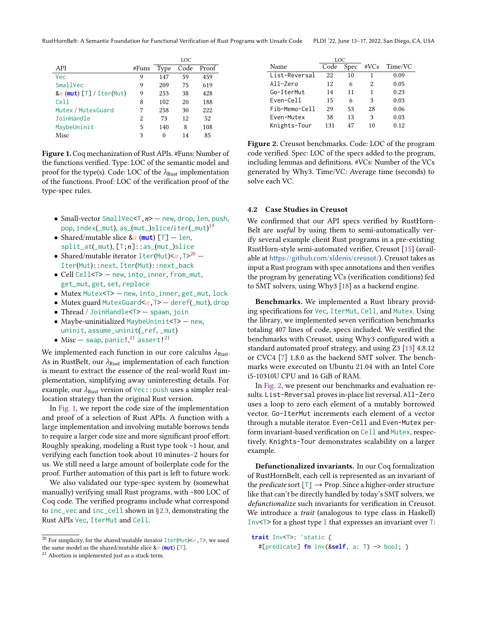<span id="page-12-1"></span>

|                                 |       | <b>LOC</b> |      |       |  |
|---------------------------------|-------|------------|------|-------|--|
| API                             | #Funs | Type       | Code | Proof |  |
| Vec                             | 9     | 147        | 59   | 459   |  |
| SmallVec                        | 9     | 209        | 75   | 619   |  |
| $8\alpha$ (mut) [T] / Iter(Mut) | 9     | 253        | 38   | 428   |  |
| Cell                            | 8     | 102        | 20   | 188   |  |
| Mutex / MutexGuard              | 7     | 258        | 30   | 222   |  |
| JoinHandle                      | 2     | 73         | 12   | 52    |  |
| MaybeUninit                     | 5     | 140        | 8    | 108   |  |
| Misc                            | 3     | 0          | 14   | 85    |  |
|                                 |       |            |      |       |  |

Figure 1. Coq mechanization of Rust APIs. #Funs: Number of the functions verified. Type: LOC of the semantic model and proof for the type(s). Code: LOC of the  $\lambda_{\text{Rust}}$  implementation of the functions. Proof: LOC of the verification proof of the type-spec rules.

- Small-vector SmallVec<T, $n$ > new, drop, len, push, pop,index(\_mut),as\_(mut\_)slice/iter(\_mut) $^{19}$  $^{19}$  $^{19}$
- Shared/mutable slice  $\&\alpha$  (mut) [T]  $-$  len,  $split\_at(\_mut), [\top;n]::as(\_mut\_)slice$
- Shared/mutable iterator  $\text{Iter}(\text{Mut}) \leq \alpha, \text{T} >^{20}$  $\text{Iter}(\text{Mut}) \leq \alpha, \text{T} >^{20}$  $\text{Iter}(\text{Mut}) \leq \alpha, \text{T} >^{20}$ Iter(Mut)::next, Iter(Mut)::next\_back
- Cell Cell<T> new, into\_inner, from\_mut, get\_mut, get, set, replace
- Mutex Mutex<T> new, into\_inner, get\_mut, lock
- Mutex guard MutexGuard $\alpha$ , T>  $-$  deref(\_mut), drop
- Thread / JoinHandle<T> spawn, join
- Maybe-uninitialized MaybeUninit<T> new, uninit, assume\_uninit(\_ref, \_mut)
- $\bullet$  Misc swap, panic!,  $^{21}$  $^{21}$  $^{21}$  assert!<sup>21</sup>

We implemented each function in our core calculus  $\lambda_{\text{Rust}}$ . As in RustBelt, our  $\lambda_{\text{Rust}}$  implementation of each function is meant to extract the essence of the real-world Rust implementation, simplifying away uninteresting details. For example, our  $\lambda_{\text{Rust}}$  version of Vec:: push uses a simpler reallocation strategy than the original Rust version.

In [Fig. 1,](#page-12-1) we report the code size of the implementation and proof of a selection of Rust APIs. A function with a large implementation and involving mutable borrows tends to require a larger code size and more significant proof effort. Roughly speaking, modeling a Rust type took ~1 hour, and verifying each function took about 10 minutes–2 hours for us. We still need a large amount of boilerplate code for the proof. Further automation of this part is left to future work.

We also validated our type-spec system by (somewhat manually) verifying small Rust programs, with ~800 LOC of Coq code. The verified programs include what correspond to inc\_vec and inc\_cell shown in [§2.3,](#page-5-0) demonstrating the Rust APIs Vec, IterMut and Cell.

<span id="page-12-2"></span>

|               | LOC  |      |         |         |
|---------------|------|------|---------|---------|
| Name          | Code | Spec | $\#VCs$ | Time/VC |
| List-Reversal | 22   | 10   | 1       | 0.09    |
| All-Zero      | 12   | 6    | 2       | 0.05    |
| Go-IterMut    | 14   | 11   | 1       | 0.23    |
| Even-Cell     | 15   | 6    | 3       | 0.03    |
| Fib-Memo-Cell | 29   | 53   | 28      | 0.06    |
| Even-Mutex    | 38   | 13   | 3       | 0.03    |
| Knights-Tour  | 131  | 47   | 10      | 0.12    |

Figure 2. Creusot benchmarks. Code: LOC of the program code verified. Spec: LOC of the specs added to the program, including lemmas and definitions. #VCs: Number of the VCs generated by Why3. Time/VC: Average time (seconds) to solve each VC.

## <span id="page-12-0"></span>4.2 Case Studies in Creusot

We confirmed that our API specs verified by RustHorn-Belt are *useful* by using them to semi-automatically verify several example client Rust programs in a pre-existing RustHorn-style semi-automated verifier, Creusot [\[15\]](#page-14-14) (available at <https://github.com/xldenis/creusot/>). Creusot takes as input a Rust program with spec annotations and then verifies the program by generating VCs (verification conditions) fed to SMT solvers, using Why3 [\[18\]](#page-14-20) as a backend engine.

Benchmarks. We implemented a Rust library providing specifications for Vec, IterMut, Cell, and Mutex. Using the library, we implemented seven verification benchmarks totaling 407 lines of code, specs included. We verified the benchmarks with Creusot, using Why3 configured with a standard automated proof strategy, and using Z3 [\[13\]](#page-14-26) 4.8.12 or CVC4 [\[7\]](#page-14-27) 1.8.0 as the backend SMT solver. The benchmarks were executed on Ubuntu 21.04 with an Intel Core i5-10310U CPU and 16 GiB of RAM.

In [Fig. 2,](#page-12-2) we present our benchmarks and evaluation results. List-Reversal proves in-place list reversal. All-Zero uses a loop to zero each element of a mutably borrowed vector. Go-IterMut increments each element of a vector through a mutable iterator. Even-Cell and Even-Mutex perform invariant-based verification on Cell and Mutex, respectively. Knights-Tour demonstrates scalability on a larger example.

Defunctionalized invariants. In our Coq formalization of RustHornBelt, each cell is represented as an invariant of the *predicate* sort  $[T] \rightarrow$  Prop. Since a higher-order structure like that can't be directly handled by today's SMT solvers, we defunctionalize such invariants for verification in Creusot. We introduce a trait (analogous to type class in Haskell) Inv<T> for a ghost type I that expresses an invariant over T:

**trait** Inv<T>: 'static { #[predicate] **fn** inv(&**self**, a: T) -> bool; }

 $^{20}$  For simplicity, for the shared/mutable iterator  $\text{Iter}(\text{Mut})<\alpha$  ,  $\text{T}>$  , we used the same model as the shared/mutable slice  $\&\alpha$  (mut) [T].

<sup>&</sup>lt;sup>21</sup> Abortion is implemented just as a stuck term.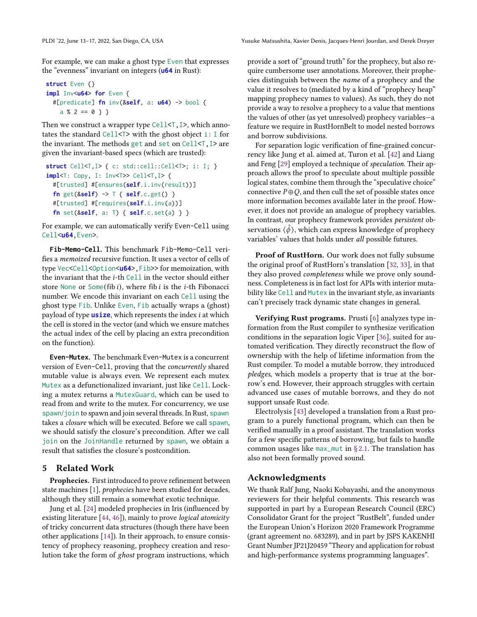For example, we can make a ghost type Even that expresses the "evenness" invariant on integers (**u64** in Rust):

```
struct Even {}
impl Inv<u64> for Even {
  #[predicate] fn inv(&self, a: u64) -> bool {
    a % 2 == 0 } }
```
Then we construct a wrapper type  $Cell < T$ , I  $>$ , which annotates the standard Cell<T> with the ghost object i: I for the invariant. The methods get and set on Cell<T,I> are given the invariant-based specs (which are trusted):

```
struct Cell<T, I> { c: std::cell::Cell<T>; i: I; }
impl<T: Copy, I: Inv<T>> Cell<T,I> {
  #[trusted] #[ensures(self.i.inv(result))]
  fn get(&self) -> T { self.c.get() }
  #[trusted] #[requires(self.i.inv(a))]
  fn set(&self, a: T) { self.c.set(a) } }
```
For example, we can automatically verify Even-Cell using Cell<**u64**,Even>.

**Fib-Memo-Cell**. This benchmark Fib-Memo-Cell verifies a memoized recursive function. It uses a vector of cells of type Vec<Cell<Option<**u64**>,Fib>> for memoization, with the invariant that the *i*-th Cell in the vector should either store None or Some(fib i), where fib i is the *i*-th Fibonacci number. We encode this invariant on each Cell using the ghost type Fib. Unlike Even, Fib actually wraps a (ghost) payload of type **usize**, which represents the index *i* at which the cell is stored in the vector (and which we ensure matches the actual index of the cell by placing an extra precondition on the function).

**Even-Mutex**. The benchmark Even-Mutex is a concurrent version of Even-Cell, proving that the concurrently shared mutable value is always even. We represent each mutex Mutex as a defunctionalized invariant, just like Cell. Locking a mutex returns a MutexGuard, which can be used to read from and write to the mutex. For concurrency, we use spawn/join to spawn and join several threads. In Rust, spawn takes a closure which will be executed. Before we call spawn, we should satisfy the closure's precondition. After we call join on the JoinHandle returned by spawn, we obtain a result that satisfies the closure's postcondition.

# 5 Related Work

Prophecies. First introduced to prove refinement between state machines [\[1\]](#page-14-12), prophecies have been studied for decades, although they still remain a somewhat exotic technique.

Jung et al. [\[24\]](#page-14-13) modeled prophecies in Iris (influenced by existing literature [\[44,](#page-15-10) [46\]](#page-15-14)), mainly to prove logical atomicity of tricky concurrent data structures (though there have been other applications [\[14\]](#page-14-28)). In their approach, to ensure consistency of prophecy reasoning, prophecy creation and resolution take the form of ghost program instructions, which

provide a sort of "ground truth" for the prophecy, but also require cumbersome user annotations. Moreover, their prophecies distinguish between the name of a prophecy and the value it resolves to (mediated by a kind of "prophecy heap" mapping prophecy names to values). As such, they do not provide a way to resolve a prophecy to a value that mentions the values of other (as yet unresolved) prophecy variables—a feature we require in RustHornBelt to model nested borrows and borrow subdivisions.

For separation logic verification of fine-grained concurrency like Jung et al. aimed at, Turon et al. [\[42\]](#page-15-15) and Liang and Feng [\[29\]](#page-14-29) employed a technique of speculation. Their approach allows the proof to speculate about multiple possible logical states, combine them through the "speculative choice" connective  $P \oplus Q$ , and then cull the set of possible states once more information becomes available later in the proof. However, it does not provide an analogue of prophecy variables. In contrast, our prophecy framework provides persistent observations  $\langle \hat{\phi} \rangle$ , which can express knowledge of prophecy variables' values that holds under all possible futures.

Proof of RustHorn. Our work does not fully subsume the original proof of RustHorn's translation [\[32,](#page-15-8) [33\]](#page-15-9), in that they also proved completeness while we prove only soundness. Completeness is in fact lost for APIs with interior mutability like Cell and Mutex in the invariant style, as invariants can't precisely track dynamic state changes in general.

Verifying Rust programs. Prusti [\[6\]](#page-14-7) analyzes type information from the Rust compiler to synthesize verification conditions in the separation logic Viper [\[36\]](#page-15-7), suited for automated verification. They directly reconstruct the flow of ownership with the help of lifetime information from the Rust compiler. To model a mutable borrow, they introduced pledges, which models a property that is true at the borrow's end. However, their approach struggles with certain advanced use cases of mutable borrows, and they do not support unsafe Rust code.

Electrolysis [\[43\]](#page-15-16) developed a translation from a Rust program to a purely functional program, which can then be verified manually in a proof assistant. The translation works for a few specific patterns of borrowing, but fails to handle common usages like max\_mut in  $\S 2.1$ . The translation has also not been formally proved sound.

# Acknowledgments

We thank Ralf Jung, Naoki Kobayashi, and the anonymous reviewers for their helpful comments. This research was supported in part by a European Research Council (ERC) Consolidator Grant for the project "RustBelt", funded under the European Union's Horizon 2020 Framework Programme (grant agreement no. 683289), and in part by JSPS KAKENHI Grant Number JP21J20459 "Theory and application for robust and high-performance systems programming languages".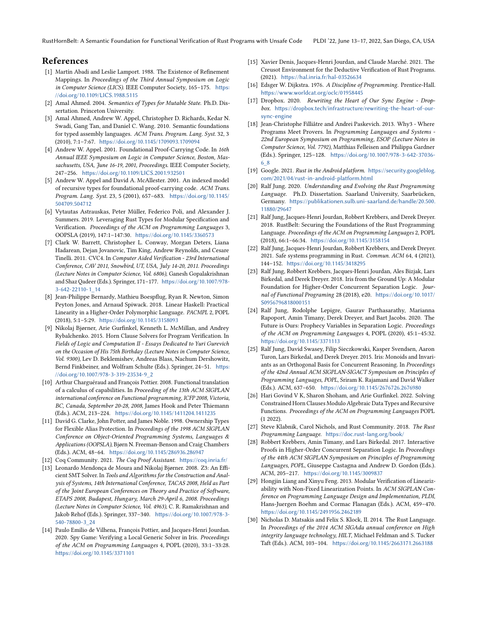RustHornBelt: A Semantic Foundation for Functional Verification of Rust Programs with Unsafe Code PLDI '22, June 13–17, 2022, San Diego, CA, USA

# References

- <span id="page-14-12"></span>[1] Martín Abadi and Leslie Lamport. 1988. The Existence of Refinement Mappings. In Proceedings of the Third Annual Symposium on Logic in Computer Science (LICS). IEEE Computer Society, 165–175. [https:](https://doi.org/10.1109/LICS.1988.5115) [//doi.org/10.1109/LICS.1988.5115](https://doi.org/10.1109/LICS.1988.5115)
- <span id="page-14-24"></span>[2] Amal Ahmed. 2004. Semantics of Types for Mutable State. Ph.D. Dissertation. Princeton University.
- <span id="page-14-25"></span>[3] Amal Ahmed, Andrew W. Appel, Christopher D. Richards, Kedar N. Swadi, Gang Tan, and Daniel C. Wang. 2010. Semantic foundations for typed assembly languages. ACM Trans. Program. Lang. Syst. 32, 3 (2010), 7:1–7:67. <https://doi.org/10.1145/1709093.1709094>
- <span id="page-14-22"></span>[4] Andrew W. Appel. 2001. Foundational Proof-Carrying Code. In 16th Annual IEEE Symposium on Logic in Computer Science, Boston, Massachusetts, USA, June 16-19, 2001, Proceedings. IEEE Computer Society, 247–256. <https://doi.org/10.1109/LICS.2001.932501>
- <span id="page-14-23"></span>[5] Andrew W. Appel and David A. McAllester. 2001. An indexed model of recursive types for foundational proof-carrying code. ACM Trans. Program. Lang. Syst. 23, 5 (2001), 657–683. [https://doi.org/10.1145/](https://doi.org/10.1145/504709.504712) [504709.504712](https://doi.org/10.1145/504709.504712)
- <span id="page-14-7"></span>[6] Vytautas Astrauskas, Peter Müller, Federico Poli, and Alexander J. Summers. 2019. Leveraging Rust Types for Modular Specification and Verification. Proceedings of the ACM on Programming Languages 3, OOPSLA (2019), 147:1–147:30. <https://doi.org/10.1145/3360573>
- <span id="page-14-27"></span>[7] Clark W. Barrett, Christopher L. Conway, Morgan Deters, Liana Hadarean, Dejan Jovanovic, Tim King, Andrew Reynolds, and Cesare Tinelli. 2011. CVC4. In Computer Aided Verification - 23rd International Conference, CAV 2011, Snowbird, UT, USA, July 14-20, 2011. Proceedings (Lecture Notes in Computer Science, Vol. 6806), Ganesh Gopalakrishnan and Shaz Qadeer (Eds.). Springer, 171–177. [https://doi.org/10.1007/978-](https://doi.org/10.1007/978-3-642-22110-1_14) [3-642-22110-1\\_14](https://doi.org/10.1007/978-3-642-22110-1_14)
- <span id="page-14-11"></span>[8] Jean-Philippe Bernardy, Mathieu Boespflug, Ryan R. Newton, Simon Peyton Jones, and Arnaud Spiwack. 2018. Linear Haskell: Practical Linearity in a Higher-Order Polymorphic Language. PACMPL 2, POPL (2018), 5:1–5:29. <https://doi.org/10.1145/3158093>
- <span id="page-14-8"></span>[9] Nikolaj Bjørner, Arie Gurfinkel, Kenneth L. McMillan, and Andrey Rybalchenko. 2015. Horn Clause Solvers for Program Verification. In Fields of Logic and Computation II - Essays Dedicated to Yuri Gurevich on the Occasion of His 75th Birthday (Lecture Notes in Computer Science, Vol. 9300), Lev D. Beklemishev, Andreas Blass, Nachum Dershowitz, Bernd Finkbeiner, and Wolfram Schulte (Eds.). Springer, 24–51. [https:](https://doi.org/10.1007/978-3-319-23534-9_2) [//doi.org/10.1007/978-3-319-23534-9\\_2](https://doi.org/10.1007/978-3-319-23534-9_2)
- <span id="page-14-10"></span>[10] Arthur Charguéraud and François Pottier. 2008. Functional translation of a calculus of capabilities. In Proceeding of the 13th ACM SIGPLAN international conference on Functional programming, ICFP 2008, Victoria, BC, Canada, September 20-28, 2008, James Hook and Peter Thiemann (Eds.). ACM, 213–224. <https://doi.org/10.1145/1411204.1411235>
- <span id="page-14-2"></span>[11] David G. Clarke, John Potter, and James Noble. 1998. Ownership Types for Flexible Alias Protection. In Proceedings of the 1998 ACM SIGPLAN Conference on Object-Oriented Programming Systems, Languages & Applications (OOPSLA), Bjørn N. Freeman-Benson and Craig Chambers (Eds.). ACM, 48–64. <https://doi.org/10.1145/286936.286947>
- <span id="page-14-9"></span>[12] Coq Community. 2021. The Coq Proof Assistant. <https://coq.inria.fr/>
- <span id="page-14-26"></span>[13] Leonardo Mendonça de Moura and Nikolaj Bjørner. 2008. Z3: An Efficient SMT Solver. In Tools and Algorithms for the Construction and Analysis of Systems, 14th International Conference, TACAS 2008, Held as Part of the Joint European Conferences on Theory and Practice of Software, ETAPS 2008, Budapest, Hungary, March 29-April 6, 2008. Proceedings (Lecture Notes in Computer Science, Vol. 4963), C. R. Ramakrishnan and Jakob Rehof (Eds.). Springer, 337–340. [https://doi.org/10.1007/978-3-](https://doi.org/10.1007/978-3-540-78800-3_24) [540-78800-3\\_24](https://doi.org/10.1007/978-3-540-78800-3_24)
- <span id="page-14-28"></span>[14] Paulo Emílio de Vilhena, François Pottier, and Jacques-Henri Jourdan. 2020. Spy Game: Verifying a Local Generic Solver in Iris. Proceedings of the ACM on Programming Languages 4, POPL (2020), 33:1–33:28. <https://doi.org/10.1145/3371101>
- <span id="page-14-14"></span>[15] Xavier Denis, Jacques-Henri Jourdan, and Claude Marché. 2021. The Creusot Environment for the Deductive Verification of Rust Programs. (2021). <https://hal.inria.fr/hal-03526634>
- <span id="page-14-21"></span>[16] Edsger W. Dijkstra. 1976. A Discipline of Programming. Prentice-Hall. <https://www.worldcat.org/oclc/01958445>
- <span id="page-14-6"></span>[17] Dropbox. 2020. Rewriting the Heart of Our Sync Engine - Dropbox. [https://dropbox.tech/infrastructure/rewriting-the-heart-of-our](https://dropbox.tech/infrastructure/rewriting-the-heart-of-our-sync-engine)[sync-engine](https://dropbox.tech/infrastructure/rewriting-the-heart-of-our-sync-engine)
- <span id="page-14-20"></span>[18] Jean-Christophe Filliâtre and Andrei Paskevich. 2013. Why3 - Where Programs Meet Provers. In Programming Languages and Systems - 22nd European Symposium on Programming, ESOP (Lecture Notes in Computer Science, Vol. 7792), Matthias Felleisen and Philippa Gardner (Eds.). Springer, 125–128. [https://doi.org/10.1007/978-3-642-37036-](https://doi.org/10.1007/978-3-642-37036-6_8) [6\\_8](https://doi.org/10.1007/978-3-642-37036-6_8)
- <span id="page-14-5"></span>[19] Google. 2021. Rust in the Android platform. [https://security.googleblog.](https://security.googleblog.com/2021/04/rust-in-android-platform.html) [com/2021/04/rust-in-android-platform.html](https://security.googleblog.com/2021/04/rust-in-android-platform.html)
- <span id="page-14-19"></span>[20] Ralf Jung. 2020. Understanding and Evolving the Rust Programming Language. Ph.D. Dissertation. Saarland University, Saarbrücken, Germany. [https://publikationen.sulb.uni-saarland.de/handle/20.500.](https://publikationen.sulb.uni-saarland.de/handle/20.500.11880/29647) [11880/29647](https://publikationen.sulb.uni-saarland.de/handle/20.500.11880/29647)
- <span id="page-14-4"></span>[21] Ralf Jung, Jacques-Henri Jourdan, Robbert Krebbers, and Derek Dreyer. 2018. RustBelt: Securing the Foundations of the Rust Programming Language. Proceedings of the ACM on Programming Languages 2, POPL (2018), 66:1–66:34. <https://doi.org/10.1145/3158154>
- <span id="page-14-3"></span>[22] Ralf Jung, Jacques-Henri Jourdan, Robbert Krebbers, and Derek Dreyer. 2021. Safe systems programming in Rust. Commun. ACM 64, 4 (2021), 144–152. <https://doi.org/10.1145/3418295>
- <span id="page-14-18"></span>[23] Ralf Jung, Robbert Krebbers, Jacques-Henri Jourdan, Ales Bizjak, Lars Birkedal, and Derek Dreyer. 2018. Iris from the Ground Up: A Modular Foundation for Higher-Order Concurrent Separation Logic. Journal of Functional Programing 28 (2018), e20. [https://doi.org/10.1017/](https://doi.org/10.1017/S0956796818000151) [S0956796818000151](https://doi.org/10.1017/S0956796818000151)
- <span id="page-14-13"></span>[24] Ralf Jung, Rodolphe Lepigre, Gaurav Parthasarathy, Marianna Rapoport, Amin Timany, Derek Dreyer, and Bart Jacobs. 2020. The Future is Ours: Prophecy Variables in Separation Logic. Proceedings of the ACM on Programming Languages 4, POPL (2020), 45:1–45:32. <https://doi.org/10.1145/3371113>
- <span id="page-14-16"></span>[25] Ralf Jung, David Swasey, Filip Sieczkowski, Kasper Svendsen, Aaron Turon, Lars Birkedal, and Derek Dreyer. 2015. Iris: Monoids and Invariants as an Orthogonal Basis for Concurrent Reasoning. In Proceedings of the 42nd Annual ACM SIGPLAN-SIGACT Symposium on Principles of Programming Languages, POPL, Sriram K. Rajamani and David Walker (Eds.). ACM, 637–650. <https://doi.org/10.1145/2676726.2676980>
- <span id="page-14-15"></span>[26] Hari Govind V K, Sharon Shoham, and Arie Gurfinkel. 2022. Solving Constrained Horn Clauses Modulo Algebraic Data Types and Recursive Functions. Proceedings of the ACM on Programming Languages POPL (1 2022).
- <span id="page-14-1"></span>[27] Steve Klabnik, Carol Nichols, and Rust Community. 2018. The Rust Programming Language. <https://doc.rust-lang.org/book/>
- <span id="page-14-17"></span>[28] Robbert Krebbers, Amin Timany, and Lars Birkedal. 2017. Interactive Proofs in Higher-Order Concurrent Separation Logic. In Proceedings of the 44th ACM SIGPLAN Symposium on Principles of Programming Languages, POPL, Giuseppe Castagna and Andrew D. Gordon (Eds.). ACM, 205–217. <https://doi.org/10.1145/3009837>
- <span id="page-14-29"></span>[29] Hongjin Liang and Xinyu Feng. 2013. Modular Verification of Linearizability with Non-Fixed Linearization Points. In ACM SIGPLAN Conference on Programming Language Design and Implementation, PLDI, Hans-Juergen Boehm and Cormac Flanagan (Eds.). ACM, 459–470. <https://doi.org/10.1145/2491956.2462189>
- <span id="page-14-0"></span>[30] Nicholas D. Matsakis and Felix S. Klock, II. 2014. The Rust Language. In Proceedings of the 2014 ACM SIGAda annual conference on High integrity language technology, HILT, Michael Feldman and S. Tucker Taft (Eds.). ACM, 103–104. <https://doi.org/10.1145/2663171.2663188>